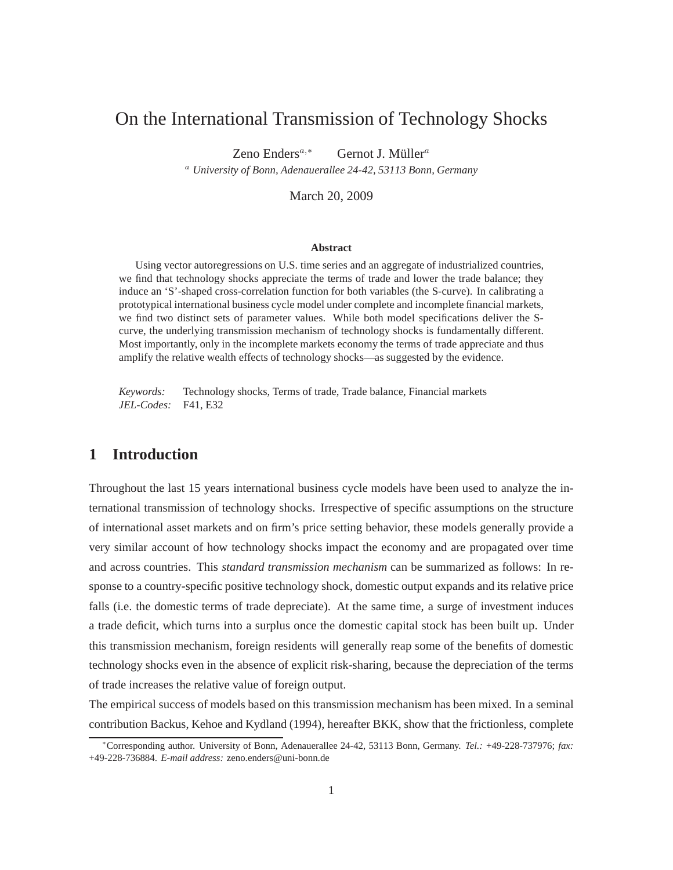# On the International Transmission of Technology Shocks

Zeno Enders<sup>a,∗</sup> Gernot J. Müller<sup>a</sup>

<sup>a</sup> *University of Bonn, Adenauerallee 24-42, 53113 Bonn, Germany*

March 20, 2009

#### **Abstract**

Using vector autoregressions on U.S. time series and an aggregate of industrialized countries, we find that technology shocks appreciate the terms of trade and lower the trade balance; they induce an 'S'-shaped cross-correlation function for both variables (the S-curve). In calibrating a prototypical international business cycle model under complete and incomplete financial markets, we find two distinct sets of parameter values. While both model specifications deliver the Scurve, the underlying transmission mechanism of technology shocks is fundamentally different. Most importantly, only in the incomplete markets economy the terms of trade appreciate and thus amplify the relative wealth effects of technology shocks—as suggested by the evidence.

*Keywords:* Technology shocks, Terms of trade, Trade balance, Financial markets *JEL-Codes:* F41, E32

### **1 Introduction**

Throughout the last 15 years international business cycle models have been used to analyze the international transmission of technology shocks. Irrespective of specific assumptions on the structure of international asset markets and on firm's price setting behavior, these models generally provide a very similar account of how technology shocks impact the economy and are propagated over time and across countries. This *standard transmission mechanism* can be summarized as follows: In response to a country-specific positive technology shock, domestic output expands and its relative price falls (i.e. the domestic terms of trade depreciate). At the same time, a surge of investment induces a trade deficit, which turns into a surplus once the domestic capital stock has been built up. Under this transmission mechanism, foreign residents will generally reap some of the benefits of domestic technology shocks even in the absence of explicit risk-sharing, because the depreciation of the terms of trade increases the relative value of foreign output.

The empirical success of models based on this transmission mechanism has been mixed. In a seminal contribution Backus, Kehoe and Kydland (1994), hereafter BKK, show that the frictionless, complete

<sup>∗</sup>Corresponding author. University of Bonn, Adenauerallee 24-42, 53113 Bonn, Germany. *Tel.:* +49-228-737976; *fax:* +49-228-736884. *E-mail address:* zeno.enders@uni-bonn.de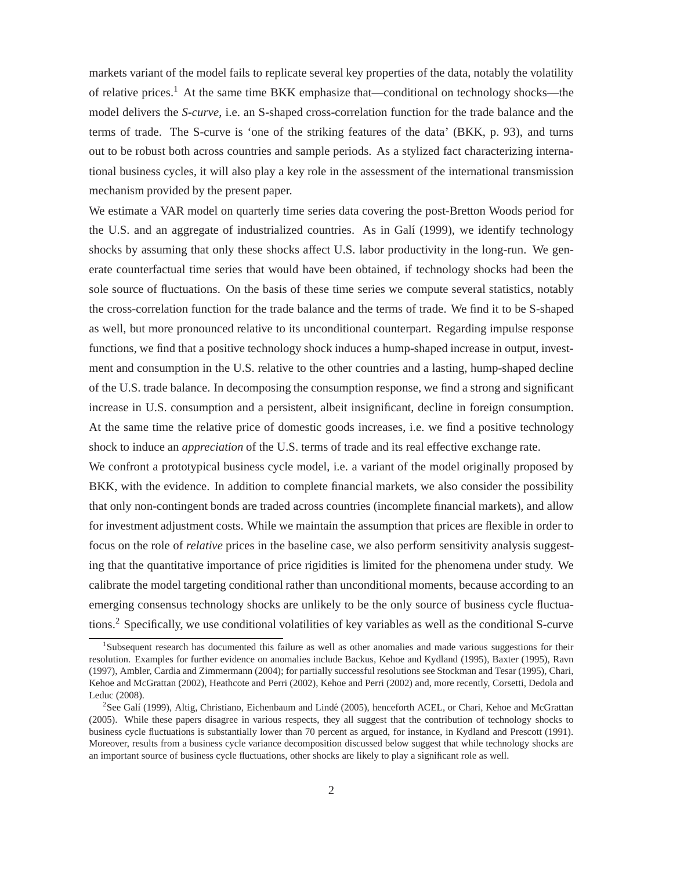markets variant of the model fails to replicate several key properties of the data, notably the volatility of relative prices.<sup>1</sup> At the same time BKK emphasize that—conditional on technology shocks—the model delivers the *S-curve*, i.e. an S-shaped cross-correlation function for the trade balance and the terms of trade. The S-curve is 'one of the striking features of the data' (BKK, p. 93), and turns out to be robust both across countries and sample periods. As a stylized fact characterizing international business cycles, it will also play a key role in the assessment of the international transmission mechanism provided by the present paper.

We estimate a VAR model on quarterly time series data covering the post-Bretton Woods period for the U.S. and an aggregate of industrialized countries. As in Galí (1999), we identify technology shocks by assuming that only these shocks affect U.S. labor productivity in the long-run. We generate counterfactual time series that would have been obtained, if technology shocks had been the sole source of fluctuations. On the basis of these time series we compute several statistics, notably the cross-correlation function for the trade balance and the terms of trade. We find it to be S-shaped as well, but more pronounced relative to its unconditional counterpart. Regarding impulse response functions, we find that a positive technology shock induces a hump-shaped increase in output, investment and consumption in the U.S. relative to the other countries and a lasting, hump-shaped decline of the U.S. trade balance. In decomposing the consumption response, we find a strong and significant increase in U.S. consumption and a persistent, albeit insignificant, decline in foreign consumption. At the same time the relative price of domestic goods increases, i.e. we find a positive technology shock to induce an *appreciation* of the U.S. terms of trade and its real effective exchange rate.

We confront a prototypical business cycle model, i.e. a variant of the model originally proposed by BKK, with the evidence. In addition to complete financial markets, we also consider the possibility that only non-contingent bonds are traded across countries (incomplete financial markets), and allow for investment adjustment costs. While we maintain the assumption that prices are flexible in order to focus on the role of *relative* prices in the baseline case, we also perform sensitivity analysis suggesting that the quantitative importance of price rigidities is limited for the phenomena under study. We calibrate the model targeting conditional rather than unconditional moments, because according to an emerging consensus technology shocks are unlikely to be the only source of business cycle fluctuations.<sup>2</sup> Specifically, we use conditional volatilities of key variables as well as the conditional S-curve

<sup>&</sup>lt;sup>1</sup>Subsequent research has documented this failure as well as other anomalies and made various suggestions for their resolution. Examples for further evidence on anomalies include Backus, Kehoe and Kydland (1995), Baxter (1995), Ravn (1997), Ambler, Cardia and Zimmermann (2004); for partially successful resolutions see Stockman and Tesar (1995), Chari, Kehoe and McGrattan (2002), Heathcote and Perri (2002), Kehoe and Perri (2002) and, more recently, Corsetti, Dedola and Leduc (2008).

<sup>&</sup>lt;sup>2</sup>See Galí (1999), Altig, Christiano, Eichenbaum and Lindé (2005), henceforth ACEL, or Chari, Kehoe and McGrattan (2005). While these papers disagree in various respects, they all suggest that the contribution of technology shocks to business cycle fluctuations is substantially lower than 70 percent as argued, for instance, in Kydland and Prescott (1991). Moreover, results from a business cycle variance decomposition discussed below suggest that while technology shocks are an important source of business cycle fluctuations, other shocks are likely to play a significant role as well.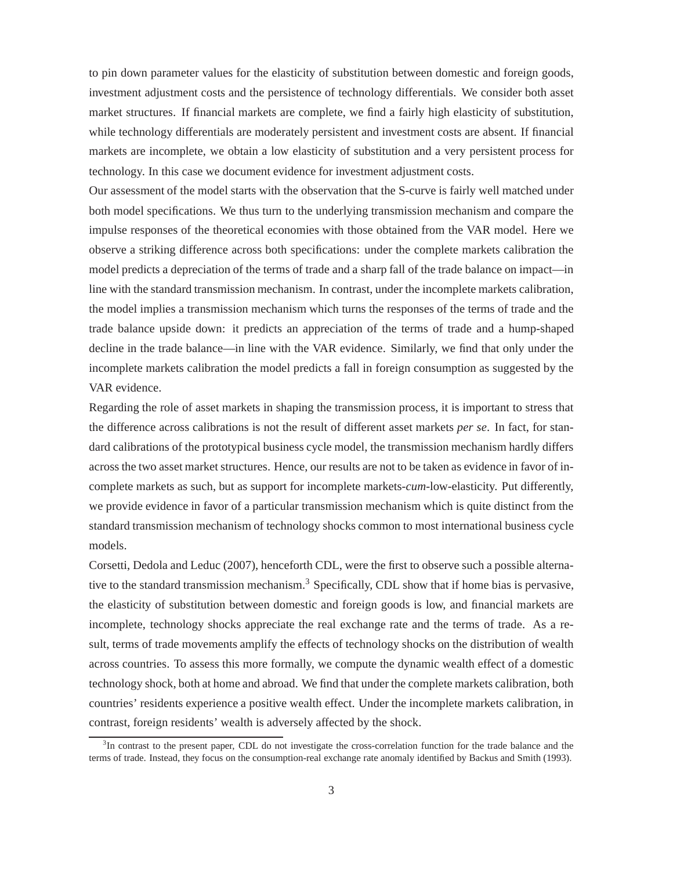to pin down parameter values for the elasticity of substitution between domestic and foreign goods, investment adjustment costs and the persistence of technology differentials. We consider both asset market structures. If financial markets are complete, we find a fairly high elasticity of substitution, while technology differentials are moderately persistent and investment costs are absent. If financial markets are incomplete, we obtain a low elasticity of substitution and a very persistent process for technology. In this case we document evidence for investment adjustment costs.

Our assessment of the model starts with the observation that the S-curve is fairly well matched under both model specifications. We thus turn to the underlying transmission mechanism and compare the impulse responses of the theoretical economies with those obtained from the VAR model. Here we observe a striking difference across both specifications: under the complete markets calibration the model predicts a depreciation of the terms of trade and a sharp fall of the trade balance on impact—in line with the standard transmission mechanism. In contrast, under the incomplete markets calibration, the model implies a transmission mechanism which turns the responses of the terms of trade and the trade balance upside down: it predicts an appreciation of the terms of trade and a hump-shaped decline in the trade balance—in line with the VAR evidence. Similarly, we find that only under the incomplete markets calibration the model predicts a fall in foreign consumption as suggested by the VAR evidence.

Regarding the role of asset markets in shaping the transmission process, it is important to stress that the difference across calibrations is not the result of different asset markets *per se*. In fact, for standard calibrations of the prototypical business cycle model, the transmission mechanism hardly differs across the two asset market structures. Hence, our results are not to be taken as evidence in favor of incomplete markets as such, but as support for incomplete markets-*cum*-low-elasticity. Put differently, we provide evidence in favor of a particular transmission mechanism which is quite distinct from the standard transmission mechanism of technology shocks common to most international business cycle models.

Corsetti, Dedola and Leduc (2007), henceforth CDL, were the first to observe such a possible alternative to the standard transmission mechanism.<sup>3</sup> Specifically, CDL show that if home bias is pervasive, the elasticity of substitution between domestic and foreign goods is low, and financial markets are incomplete, technology shocks appreciate the real exchange rate and the terms of trade. As a result, terms of trade movements amplify the effects of technology shocks on the distribution of wealth across countries. To assess this more formally, we compute the dynamic wealth effect of a domestic technology shock, both at home and abroad. We find that under the complete markets calibration, both countries' residents experience a positive wealth effect. Under the incomplete markets calibration, in contrast, foreign residents' wealth is adversely affected by the shock.

<sup>&</sup>lt;sup>3</sup>In contrast to the present paper, CDL do not investigate the cross-correlation function for the trade balance and the terms of trade. Instead, they focus on the consumption-real exchange rate anomaly identified by Backus and Smith (1993).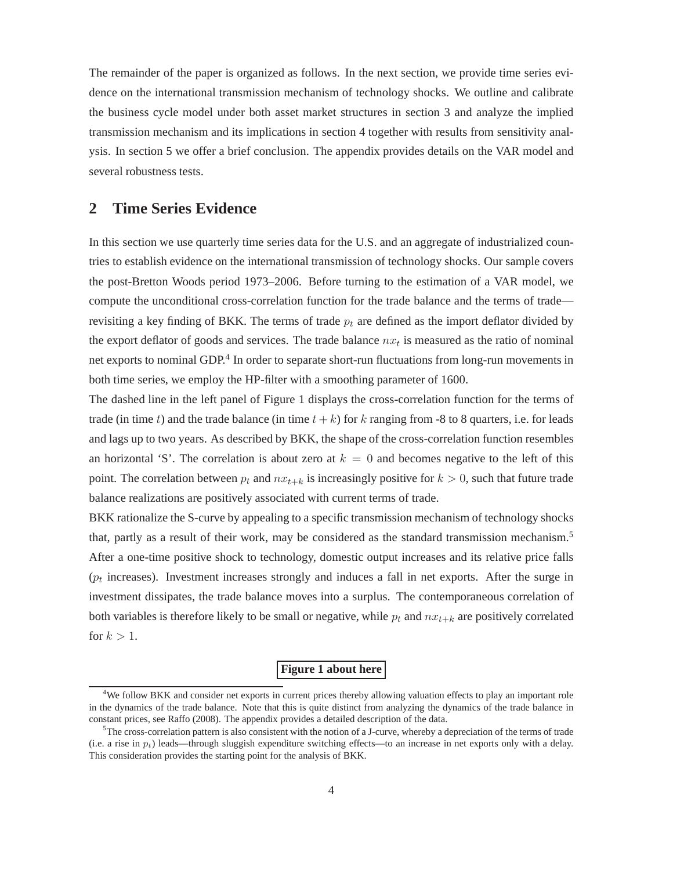The remainder of the paper is organized as follows. In the next section, we provide time series evidence on the international transmission mechanism of technology shocks. We outline and calibrate the business cycle model under both asset market structures in section 3 and analyze the implied transmission mechanism and its implications in section 4 together with results from sensitivity analysis. In section 5 we offer a brief conclusion. The appendix provides details on the VAR model and several robustness tests.

### **2 Time Series Evidence**

In this section we use quarterly time series data for the U.S. and an aggregate of industrialized countries to establish evidence on the international transmission of technology shocks. Our sample covers the post-Bretton Woods period 1973–2006. Before turning to the estimation of a VAR model, we compute the unconditional cross-correlation function for the trade balance and the terms of trade revisiting a key finding of BKK. The terms of trade  $p_t$  are defined as the import deflator divided by the export deflator of goods and services. The trade balance  $nx<sub>t</sub>$  is measured as the ratio of nominal net exports to nominal GDP.<sup>4</sup> In order to separate short-run fluctuations from long-run movements in both time series, we employ the HP-filter with a smoothing parameter of 1600.

The dashed line in the left panel of Figure 1 displays the cross-correlation function for the terms of trade (in time t) and the trade balance (in time  $t + k$ ) for k ranging from -8 to 8 quarters, i.e. for leads and lags up to two years. As described by BKK, the shape of the cross-correlation function resembles an horizontal 'S'. The correlation is about zero at  $k = 0$  and becomes negative to the left of this point. The correlation between  $p_t$  and  $nx_{t+k}$  is increasingly positive for  $k > 0$ , such that future trade balance realizations are positively associated with current terms of trade.

BKK rationalize the S-curve by appealing to a specific transmission mechanism of technology shocks that, partly as a result of their work, may be considered as the standard transmission mechanism.<sup>5</sup> After a one-time positive shock to technology, domestic output increases and its relative price falls  $(p_t$  increases). Investment increases strongly and induces a fall in net exports. After the surge in investment dissipates, the trade balance moves into a surplus. The contemporaneous correlation of both variables is therefore likely to be small or negative, while  $p_t$  and  $nx_{t+k}$  are positively correlated for  $k > 1$ .

#### **Figure 1 about here**

<sup>&</sup>lt;sup>4</sup>We follow BKK and consider net exports in current prices thereby allowing valuation effects to play an important role in the dynamics of the trade balance. Note that this is quite distinct from analyzing the dynamics of the trade balance in constant prices, see Raffo (2008). The appendix provides a detailed description of the data.

<sup>&</sup>lt;sup>5</sup>The cross-correlation pattern is also consistent with the notion of a J-curve, whereby a depreciation of the terms of trade (i.e. a rise in  $p_t$ ) leads—through sluggish expenditure switching effects—to an increase in net exports only with a delay. This consideration provides the starting point for the analysis of BKK.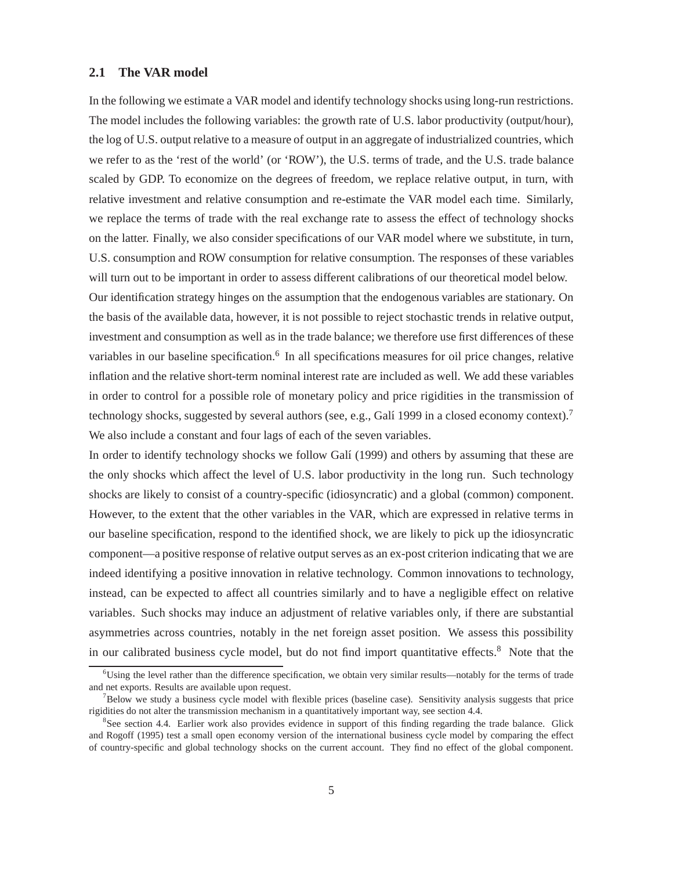#### **2.1 The VAR model**

In the following we estimate a VAR model and identify technology shocks using long-run restrictions. The model includes the following variables: the growth rate of U.S. labor productivity (output/hour), the log of U.S. output relative to a measure of output in an aggregate of industrialized countries, which we refer to as the 'rest of the world' (or 'ROW'), the U.S. terms of trade, and the U.S. trade balance scaled by GDP. To economize on the degrees of freedom, we replace relative output, in turn, with relative investment and relative consumption and re-estimate the VAR model each time. Similarly, we replace the terms of trade with the real exchange rate to assess the effect of technology shocks on the latter. Finally, we also consider specifications of our VAR model where we substitute, in turn, U.S. consumption and ROW consumption for relative consumption. The responses of these variables will turn out to be important in order to assess different calibrations of our theoretical model below.

Our identification strategy hinges on the assumption that the endogenous variables are stationary. On the basis of the available data, however, it is not possible to reject stochastic trends in relative output, investment and consumption as well as in the trade balance; we therefore use first differences of these variables in our baseline specification.<sup>6</sup> In all specifications measures for oil price changes, relative inflation and the relative short-term nominal interest rate are included as well. We add these variables in order to control for a possible role of monetary policy and price rigidities in the transmission of technology shocks, suggested by several authors (see, e.g., Galí 1999 in a closed economy context).<sup>7</sup> We also include a constant and four lags of each of the seven variables.

In order to identify technology shocks we follow Galí (1999) and others by assuming that these are the only shocks which affect the level of U.S. labor productivity in the long run. Such technology shocks are likely to consist of a country-specific (idiosyncratic) and a global (common) component. However, to the extent that the other variables in the VAR, which are expressed in relative terms in our baseline specification, respond to the identified shock, we are likely to pick up the idiosyncratic component—a positive response of relative output serves as an ex-post criterion indicating that we are indeed identifying a positive innovation in relative technology. Common innovations to technology, instead, can be expected to affect all countries similarly and to have a negligible effect on relative variables. Such shocks may induce an adjustment of relative variables only, if there are substantial asymmetries across countries, notably in the net foreign asset position. We assess this possibility in our calibrated business cycle model, but do not find import quantitative effects.<sup>8</sup> Note that the

<sup>6</sup>Using the level rather than the difference specification, we obtain very similar results—notably for the terms of trade and net exports. Results are available upon request.

 $7B$ elow we study a business cycle model with flexible prices (baseline case). Sensitivity analysis suggests that price rigidities do not alter the transmission mechanism in a quantitatively important way, see section 4.4.

<sup>&</sup>lt;sup>8</sup>See section 4.4. Earlier work also provides evidence in support of this finding regarding the trade balance. Glick and Rogoff (1995) test a small open economy version of the international business cycle model by comparing the effect of country-specific and global technology shocks on the current account. They find no effect of the global component.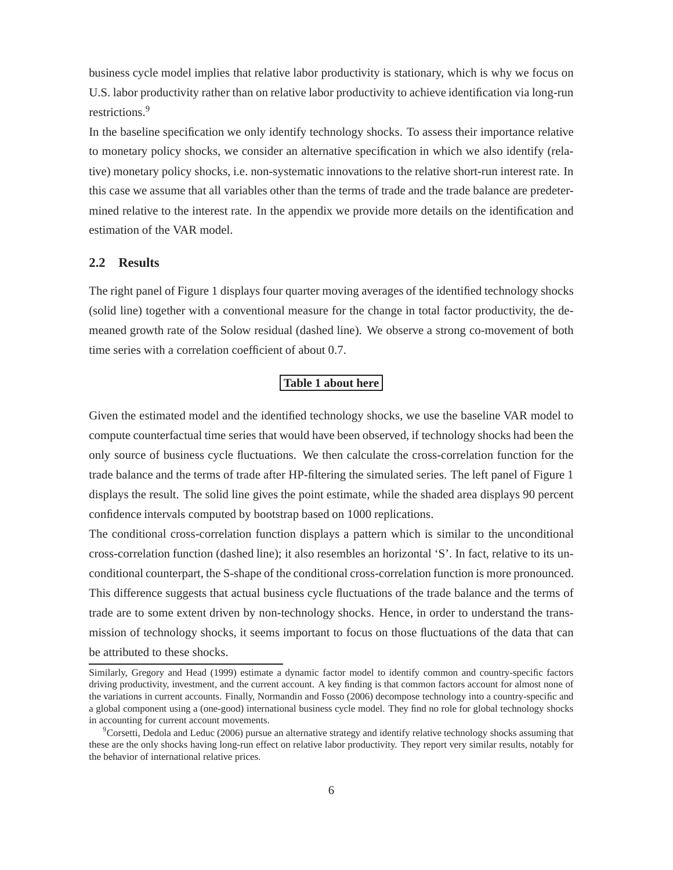business cycle model implies that relative labor productivity is stationary, which is why we focus on U.S. labor productivity rather than on relative labor productivity to achieve identification via long-run restrictions.<sup>9</sup>

In the baseline specification we only identify technology shocks. To assess their importance relative to monetary policy shocks, we consider an alternative specification in which we also identify (relative) monetary policy shocks, i.e. non-systematic innovations to the relative short-run interest rate. In this case we assume that all variables other than the terms of trade and the trade balance are predetermined relative to the interest rate. In the appendix we provide more details on the identification and estimation of the VAR model.

#### **2.2 Results**

The right panel of Figure 1 displays four quarter moving averages of the identified technology shocks (solid line) together with a conventional measure for the change in total factor productivity, the demeaned growth rate of the Solow residual (dashed line). We observe a strong co-movement of both time series with a correlation coefficient of about 0.7.

#### **Table 1 about here**

Given the estimated model and the identified technology shocks, we use the baseline VAR model to compute counterfactual time series that would have been observed, if technology shocks had been the only source of business cycle fluctuations. We then calculate the cross-correlation function for the trade balance and the terms of trade after HP-filtering the simulated series. The left panel of Figure 1 displays the result. The solid line gives the point estimate, while the shaded area displays 90 percent confidence intervals computed by bootstrap based on 1000 replications.

The conditional cross-correlation function displays a pattern which is similar to the unconditional cross-correlation function (dashed line); it also resembles an horizontal 'S'. In fact, relative to its unconditional counterpart, the S-shape of the conditional cross-correlation function is more pronounced. This difference suggests that actual business cycle fluctuations of the trade balance and the terms of trade are to some extent driven by non-technology shocks. Hence, in order to understand the transmission of technology shocks, it seems important to focus on those fluctuations of the data that can be attributed to these shocks.

Similarly, Gregory and Head (1999) estimate a dynamic factor model to identify common and country-specific factors driving productivity, investment, and the current account. A key finding is that common factors account for almost none of the variations in current accounts. Finally, Normandin and Fosso (2006) decompose technology into a country-specific and a global component using a (one-good) international business cycle model. They find no role for global technology shocks in accounting for current account movements.

 $\degree$ Corsetti, Dedola and Leduc (2006) pursue an alternative strategy and identify relative technology shocks assuming that these are the only shocks having long-run effect on relative labor productivity. They report very similar results, notably for the behavior of international relative prices.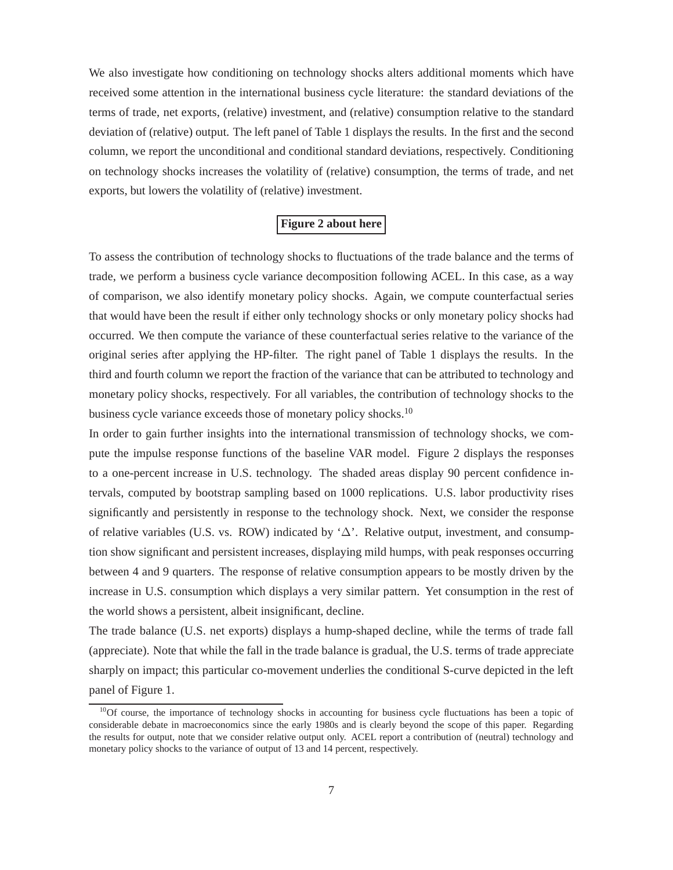We also investigate how conditioning on technology shocks alters additional moments which have received some attention in the international business cycle literature: the standard deviations of the terms of trade, net exports, (relative) investment, and (relative) consumption relative to the standard deviation of (relative) output. The left panel of Table 1 displays the results. In the first and the second column, we report the unconditional and conditional standard deviations, respectively. Conditioning on technology shocks increases the volatility of (relative) consumption, the terms of trade, and net exports, but lowers the volatility of (relative) investment.

### **Figure 2 about here**

To assess the contribution of technology shocks to fluctuations of the trade balance and the terms of trade, we perform a business cycle variance decomposition following ACEL. In this case, as a way of comparison, we also identify monetary policy shocks. Again, we compute counterfactual series that would have been the result if either only technology shocks or only monetary policy shocks had occurred. We then compute the variance of these counterfactual series relative to the variance of the original series after applying the HP-filter. The right panel of Table 1 displays the results. In the third and fourth column we report the fraction of the variance that can be attributed to technology and monetary policy shocks, respectively. For all variables, the contribution of technology shocks to the business cycle variance exceeds those of monetary policy shocks.<sup>10</sup>

In order to gain further insights into the international transmission of technology shocks, we compute the impulse response functions of the baseline VAR model. Figure 2 displays the responses to a one-percent increase in U.S. technology. The shaded areas display 90 percent confidence intervals, computed by bootstrap sampling based on 1000 replications. U.S. labor productivity rises significantly and persistently in response to the technology shock. Next, we consider the response of relative variables (U.S. vs. ROW) indicated by '∆'. Relative output, investment, and consumption show significant and persistent increases, displaying mild humps, with peak responses occurring between 4 and 9 quarters. The response of relative consumption appears to be mostly driven by the increase in U.S. consumption which displays a very similar pattern. Yet consumption in the rest of the world shows a persistent, albeit insignificant, decline.

The trade balance (U.S. net exports) displays a hump-shaped decline, while the terms of trade fall (appreciate). Note that while the fall in the trade balance is gradual, the U.S. terms of trade appreciate sharply on impact; this particular co-movement underlies the conditional S-curve depicted in the left panel of Figure 1.

<sup>&</sup>lt;sup>10</sup>Of course, the importance of technology shocks in accounting for business cycle fluctuations has been a topic of considerable debate in macroeconomics since the early 1980s and is clearly beyond the scope of this paper. Regarding the results for output, note that we consider relative output only. ACEL report a contribution of (neutral) technology and monetary policy shocks to the variance of output of 13 and 14 percent, respectively.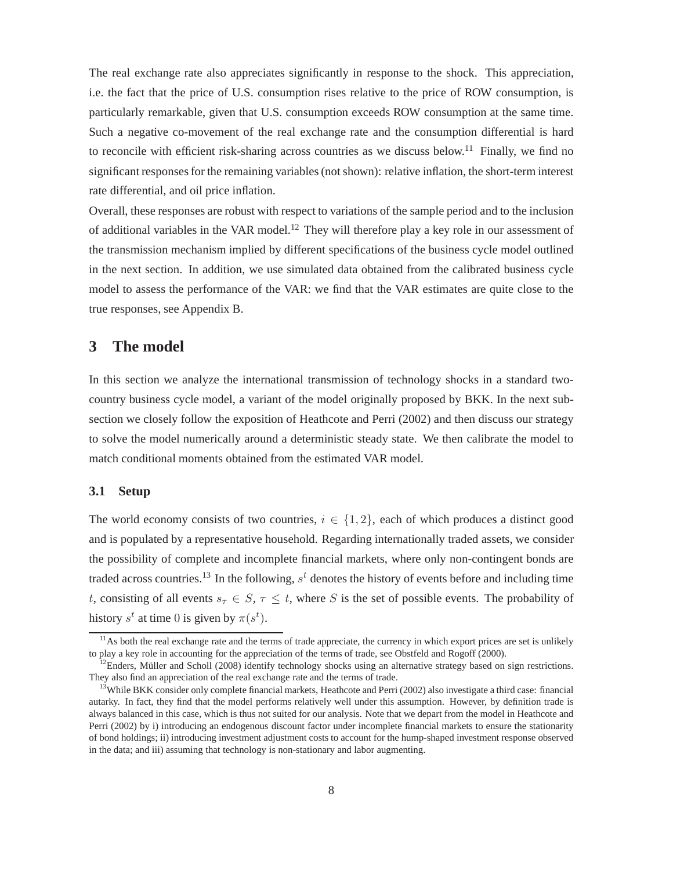The real exchange rate also appreciates significantly in response to the shock. This appreciation, i.e. the fact that the price of U.S. consumption rises relative to the price of ROW consumption, is particularly remarkable, given that U.S. consumption exceeds ROW consumption at the same time. Such a negative co-movement of the real exchange rate and the consumption differential is hard to reconcile with efficient risk-sharing across countries as we discuss below.<sup>11</sup> Finally, we find no significant responses for the remaining variables (not shown): relative inflation, the short-term interest rate differential, and oil price inflation.

Overall, these responses are robust with respect to variations of the sample period and to the inclusion of additional variables in the VAR model.<sup>12</sup> They will therefore play a key role in our assessment of the transmission mechanism implied by different specifications of the business cycle model outlined in the next section. In addition, we use simulated data obtained from the calibrated business cycle model to assess the performance of the VAR: we find that the VAR estimates are quite close to the true responses, see Appendix B.

## **3 The model**

In this section we analyze the international transmission of technology shocks in a standard twocountry business cycle model, a variant of the model originally proposed by BKK. In the next subsection we closely follow the exposition of Heathcote and Perri (2002) and then discuss our strategy to solve the model numerically around a deterministic steady state. We then calibrate the model to match conditional moments obtained from the estimated VAR model.

#### **3.1 Setup**

The world economy consists of two countries,  $i \in \{1, 2\}$ , each of which produces a distinct good and is populated by a representative household. Regarding internationally traded assets, we consider the possibility of complete and incomplete financial markets, where only non-contingent bonds are traded across countries.<sup>13</sup> In the following,  $s<sup>t</sup>$  denotes the history of events before and including time t, consisting of all events  $s_{\tau} \in S$ ,  $\tau \leq t$ , where S is the set of possible events. The probability of history  $s^t$  at time 0 is given by  $\pi(s^t)$ .

 $<sup>11</sup>$ As both the real exchange rate and the terms of trade appreciate, the currency in which export prices are set is unlikely</sup> to play a key role in accounting for the appreciation of the terms of trade, see Obstfeld and Rogoff (2000).

 $12$ Enders, Müller and Scholl (2008) identify technology shocks using an alternative strategy based on sign restrictions. They also find an appreciation of the real exchange rate and the terms of trade.

<sup>&</sup>lt;sup>13</sup>While BKK consider only complete financial markets, Heathcote and Perri (2002) also investigate a third case: financial autarky. In fact, they find that the model performs relatively well under this assumption. However, by definition trade is always balanced in this case, which is thus not suited for our analysis. Note that we depart from the model in Heathcote and Perri (2002) by i) introducing an endogenous discount factor under incomplete financial markets to ensure the stationarity of bond holdings; ii) introducing investment adjustment costs to account for the hump-shaped investment response observed in the data; and iii) assuming that technology is non-stationary and labor augmenting.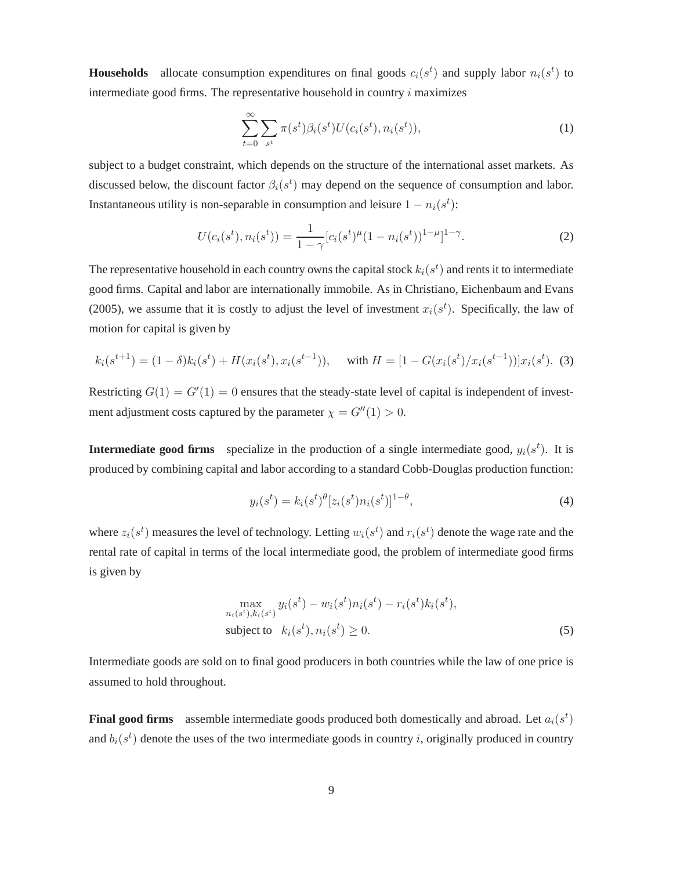**Households** allocate consumption expenditures on final goods  $c_i(s^t)$  and supply labor  $n_i(s^t)$  to intermediate good firms. The representative household in country  $i$  maximizes

$$
\sum_{t=0}^{\infty} \sum_{s^t} \pi(s^t) \beta_i(s^t) U(c_i(s^t), n_i(s^t)), \tag{1}
$$

subject to a budget constraint, which depends on the structure of the international asset markets. As discussed below, the discount factor  $\beta_i(s^t)$  may depend on the sequence of consumption and labor. Instantaneous utility is non-separable in consumption and leisure  $1 - n_i(s^t)$ :

$$
U(c_i(s^t), n_i(s^t)) = \frac{1}{1 - \gamma} [c_i(s^t)^{\mu} (1 - n_i(s^t))^{1 - \mu}]^{1 - \gamma}.
$$
 (2)

The representative household in each country owns the capital stock  $k_i(s^t)$  and rents it to intermediate good firms. Capital and labor are internationally immobile. As in Christiano, Eichenbaum and Evans (2005), we assume that it is costly to adjust the level of investment  $x_i(s^t)$ . Specifically, the law of motion for capital is given by

$$
k_i(s^{t+1}) = (1 - \delta)k_i(s^t) + H(x_i(s^t), x_i(s^{t-1})), \quad \text{with } H = [1 - G(x_i(s^t)/x_i(s^{t-1}))]x_i(s^t). \tag{3}
$$

Restricting  $G(1) = G'(1) = 0$  ensures that the steady-state level of capital is independent of investment adjustment costs captured by the parameter  $\chi = G''(1) > 0$ .

**Intermediate good firms** specialize in the production of a single intermediate good,  $y_i(s^t)$ . It is produced by combining capital and labor according to a standard Cobb-Douglas production function:

$$
y_i(s^t) = k_i(s^t)^{\theta} [z_i(s^t) n_i(s^t)]^{1-\theta}, \tag{4}
$$

where  $z_i(s^t)$  measures the level of technology. Letting  $w_i(s^t)$  and  $r_i(s^t)$  denote the wage rate and the rental rate of capital in terms of the local intermediate good, the problem of intermediate good firms is given by

$$
\max_{n_i(s^t), k_i(s^t)} y_i(s^t) - w_i(s^t) n_i(s^t) - r_i(s^t) k_i(s^t),
$$
  
subject to  $k_i(s^t), n_i(s^t) \ge 0.$  (5)

Intermediate goods are sold on to final good producers in both countries while the law of one price is assumed to hold throughout.

**Final good firms** assemble intermediate goods produced both domestically and abroad. Let  $a_i(s^t)$ and  $b_i(s^t)$  denote the uses of the two intermediate goods in country *i*, originally produced in country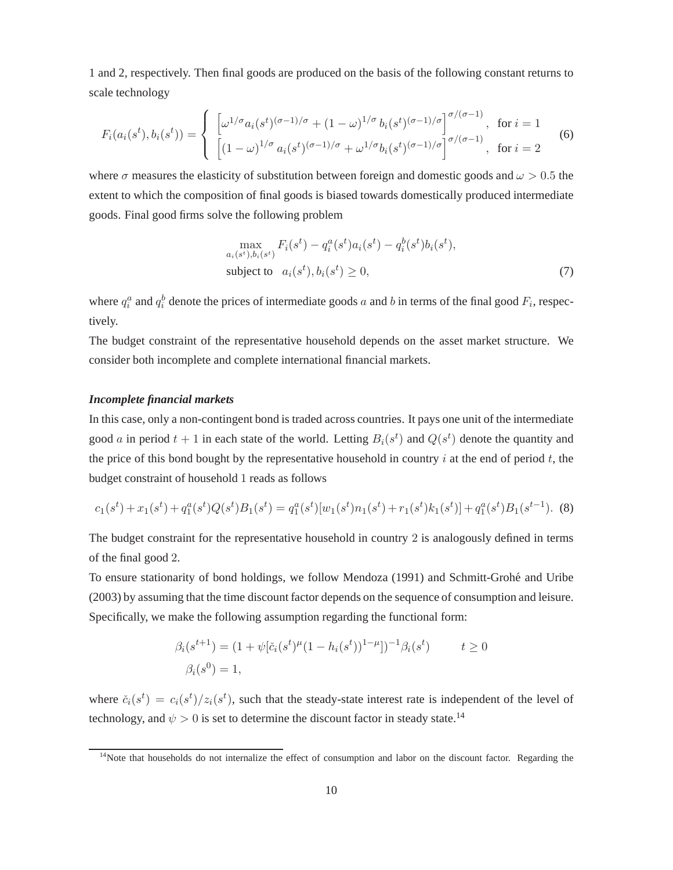1 and 2, respectively. Then final goods are produced on the basis of the following constant returns to scale technology

$$
F_i(a_i(s^t), b_i(s^t)) = \begin{cases} \left[ \omega^{1/\sigma} a_i(s^t)^{(\sigma-1)/\sigma} + (1-\omega)^{1/\sigma} b_i(s^t)^{(\sigma-1)/\sigma} \right]^{\sigma/(\sigma-1)}, & \text{for } i = 1\\ \left[ (1-\omega)^{1/\sigma} a_i(s^t)^{(\sigma-1)/\sigma} + \omega^{1/\sigma} b_i(s^t)^{(\sigma-1)/\sigma} \right]^{\sigma/(\sigma-1)}, & \text{for } i = 2 \end{cases}
$$
(6)

where  $\sigma$  measures the elasticity of substitution between foreign and domestic goods and  $\omega > 0.5$  the extent to which the composition of final goods is biased towards domestically produced intermediate goods. Final good firms solve the following problem

$$
\max_{a_i(s^t), b_i(s^t)} F_i(s^t) - q_i^a(s^t) a_i(s^t) - q_i^b(s^t) b_i(s^t),
$$
\nsubject to  $a_i(s^t), b_i(s^t) \geq 0$ , (7)

where  $q_i^a$  and  $q_i^b$  denote the prices of intermediate goods a and b in terms of the final good  $F_i$ , respectively.

The budget constraint of the representative household depends on the asset market structure. We consider both incomplete and complete international financial markets.

#### *Incomplete financial markets*

In this case, only a non-contingent bond is traded across countries. It pays one unit of the intermediate good a in period  $t + 1$  in each state of the world. Letting  $B_i(s^t)$  and  $Q(s^t)$  denote the quantity and the price of this bond bought by the representative household in country  $i$  at the end of period  $t$ , the budget constraint of household 1 reads as follows

$$
c_1(s^t) + x_1(s^t) + q_1^a(s^t)Q(s^t)B_1(s^t) = q_1^a(s^t)[w_1(s^t)n_1(s^t) + r_1(s^t)k_1(s^t)] + q_1^a(s^t)B_1(s^{t-1}).
$$
 (8)

The budget constraint for the representative household in country 2 is analogously defined in terms of the final good 2.

To ensure stationarity of bond holdings, we follow Mendoza (1991) and Schmitt-Groh´e and Uribe (2003) by assuming that the time discount factor depends on the sequence of consumption and leisure. Specifically, we make the following assumption regarding the functional form:

$$
\beta_i(s^{t+1}) = (1 + \psi[\check{c}_i(s^t)^{\mu}(1 - h_i(s^t))^{1-\mu}])^{-1}\beta_i(s^t) \qquad t \ge 0
$$
  

$$
\beta_i(s^0) = 1,
$$

where  $\tilde{c}_i(s^t) = c_i(s^t)/z_i(s^t)$ , such that the steady-state interest rate is independent of the level of technology, and  $\psi > 0$  is set to determine the discount factor in steady state.<sup>14</sup>

<sup>&</sup>lt;sup>14</sup>Note that households do not internalize the effect of consumption and labor on the discount factor. Regarding the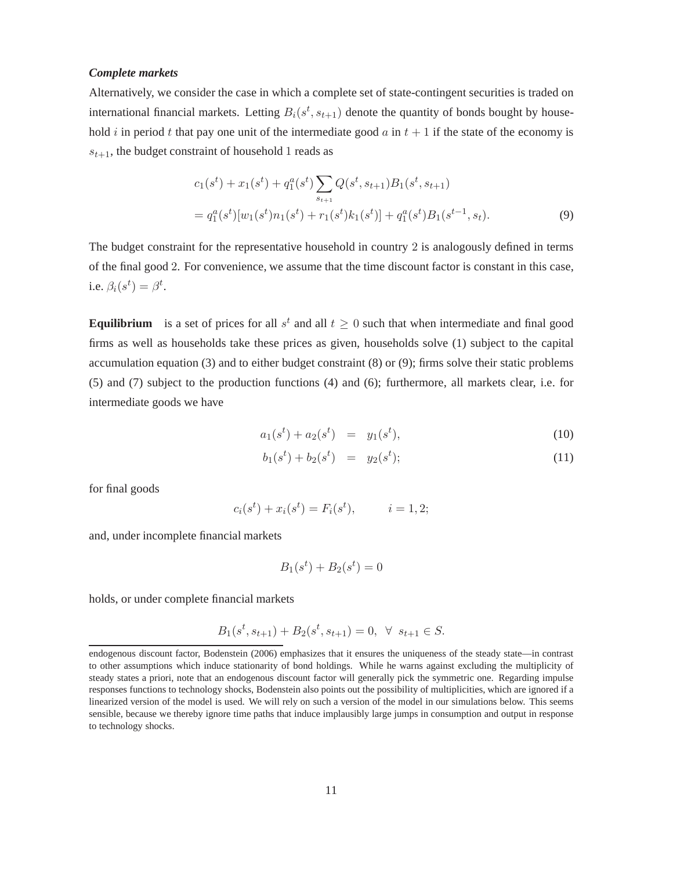#### *Complete markets*

Alternatively, we consider the case in which a complete set of state-contingent securities is traded on international financial markets. Letting  $B_i(s^t, s_{t+1})$  denote the quantity of bonds bought by household i in period t that pay one unit of the intermediate good  $a$  in  $t + 1$  if the state of the economy is  $s_{t+1}$ , the budget constraint of household 1 reads as

$$
c_1(s^t) + x_1(s^t) + q_1^a(s^t) \sum_{s_{t+1}} Q(s^t, s_{t+1}) B_1(s^t, s_{t+1})
$$
  
=  $q_1^a(s^t) [w_1(s^t) n_1(s^t) + r_1(s^t) k_1(s^t)] + q_1^a(s^t) B_1(s^{t-1}, s_t).$  (9)

The budget constraint for the representative household in country 2 is analogously defined in terms of the final good 2. For convenience, we assume that the time discount factor is constant in this case, i.e.  $\beta_i(s^t) = \beta^t$ .

**Equilibrium** is a set of prices for all  $s^t$  and all  $t \geq 0$  such that when intermediate and final good firms as well as households take these prices as given, households solve (1) subject to the capital accumulation equation (3) and to either budget constraint (8) or (9); firms solve their static problems (5) and (7) subject to the production functions (4) and (6); furthermore, all markets clear, i.e. for intermediate goods we have

$$
a_1(s^t) + a_2(s^t) = y_1(s^t), \tag{10}
$$

$$
b_1(s^t) + b_2(s^t) = y_2(s^t); \tag{11}
$$

for final goods

$$
c_i(s^t) + x_i(s^t) = F_i(s^t),
$$
   
  $i = 1, 2;$ 

and, under incomplete financial markets

$$
B_1(s^t) + B_2(s^t) = 0
$$

holds, or under complete financial markets

$$
B_1(s^t, s_{t+1}) + B_2(s^t, s_{t+1}) = 0, \ \forall \ s_{t+1} \in S.
$$

endogenous discount factor, Bodenstein (2006) emphasizes that it ensures the uniqueness of the steady state—in contrast to other assumptions which induce stationarity of bond holdings. While he warns against excluding the multiplicity of steady states a priori, note that an endogenous discount factor will generally pick the symmetric one. Regarding impulse responses functions to technology shocks, Bodenstein also points out the possibility of multiplicities, which are ignored if a linearized version of the model is used. We will rely on such a version of the model in our simulations below. This seems sensible, because we thereby ignore time paths that induce implausibly large jumps in consumption and output in response to technology shocks.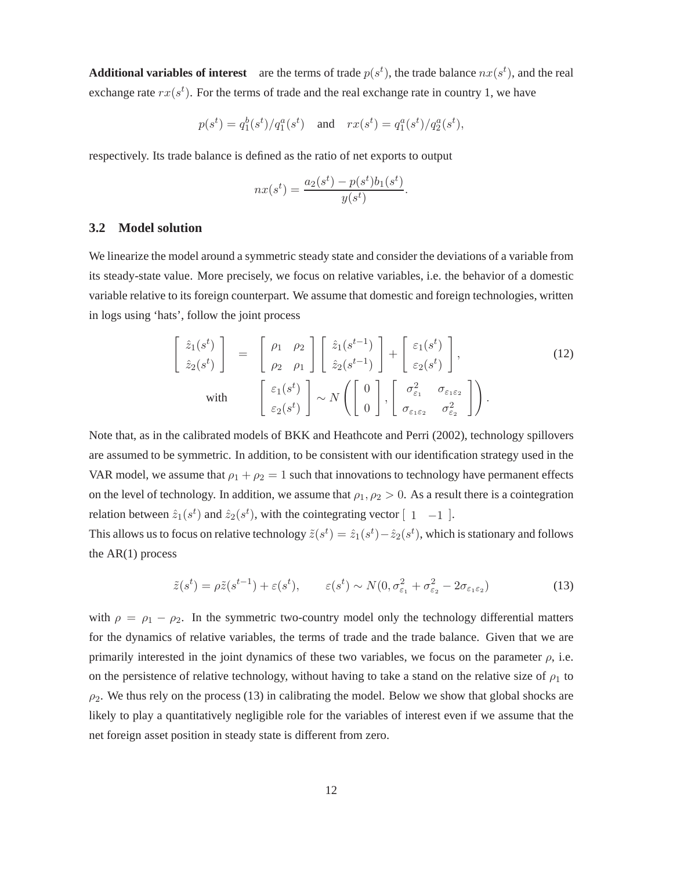Additional variables of interest are the terms of trade  $p(s^t)$ , the trade balance  $nx(s^t)$ , and the real exchange rate  $rx(s^t)$ . For the terms of trade and the real exchange rate in country 1, we have

$$
p(s^t) = q_1^b(s^t)/q_1^a(s^t)
$$
 and  $rx(s^t) = q_1^a(s^t)/q_2^a(s^t)$ ,

respectively. Its trade balance is defined as the ratio of net exports to output

$$
nx(s^{t}) = \frac{a_2(s^{t}) - p(s^{t})b_1(s^{t})}{y(s^{t})}.
$$

#### **3.2 Model solution**

We linearize the model around a symmetric steady state and consider the deviations of a variable from its steady-state value. More precisely, we focus on relative variables, i.e. the behavior of a domestic variable relative to its foreign counterpart. We assume that domestic and foreign technologies, written in logs using 'hats', follow the joint process

$$
\begin{bmatrix}\n\hat{z}_1(s^t) \\
\hat{z}_2(s^t)\n\end{bmatrix} = \begin{bmatrix}\n\rho_1 & \rho_2 \\
\rho_2 & \rho_1\n\end{bmatrix} \begin{bmatrix}\n\hat{z}_1(s^{t-1}) \\
\hat{z}_2(s^{t-1})\n\end{bmatrix} + \begin{bmatrix}\n\varepsilon_1(s^t) \\
\varepsilon_2(s^t)\n\end{bmatrix},
$$
\nwith

\n
$$
\begin{bmatrix}\n\varepsilon_1(s^t) \\
\varepsilon_2(s^t)\n\end{bmatrix} \sim N \left( \begin{bmatrix}\n0 \\
0\n\end{bmatrix}, \begin{bmatrix}\n\sigma_{\varepsilon_1}^2 & \sigma_{\varepsilon_1 \varepsilon_2} \\
\sigma_{\varepsilon_1 \varepsilon_2} & \sigma_{\varepsilon_2}^2\n\end{bmatrix} \right).
$$
\n(12)

Note that, as in the calibrated models of BKK and Heathcote and Perri (2002), technology spillovers are assumed to be symmetric. In addition, to be consistent with our identification strategy used in the VAR model, we assume that  $\rho_1 + \rho_2 = 1$  such that innovations to technology have permanent effects on the level of technology. In addition, we assume that  $\rho_1, \rho_2 > 0$ . As a result there is a cointegration relation between  $\hat{z}_1(s^t)$  and  $\hat{z}_2(s^t)$ , with the cointegrating vector  $\begin{bmatrix} 1 & -1 \end{bmatrix}$ .

This allows us to focus on relative technology  $\tilde{z}(s^t) = \hat{z}_1(s^t) - \hat{z}_2(s^t)$ , which is stationary and follows the  $AR(1)$  process

$$
\tilde{z}(s^t) = \rho \tilde{z}(s^{t-1}) + \varepsilon(s^t), \qquad \varepsilon(s^t) \sim N(0, \sigma_{\varepsilon_1}^2 + \sigma_{\varepsilon_2}^2 - 2\sigma_{\varepsilon_1 \varepsilon_2})
$$
\n(13)

with  $\rho = \rho_1 - \rho_2$ . In the symmetric two-country model only the technology differential matters for the dynamics of relative variables, the terms of trade and the trade balance. Given that we are primarily interested in the joint dynamics of these two variables, we focus on the parameter  $\rho$ , i.e. on the persistence of relative technology, without having to take a stand on the relative size of  $\rho_1$  to  $\rho_2$ . We thus rely on the process (13) in calibrating the model. Below we show that global shocks are likely to play a quantitatively negligible role for the variables of interest even if we assume that the net foreign asset position in steady state is different from zero.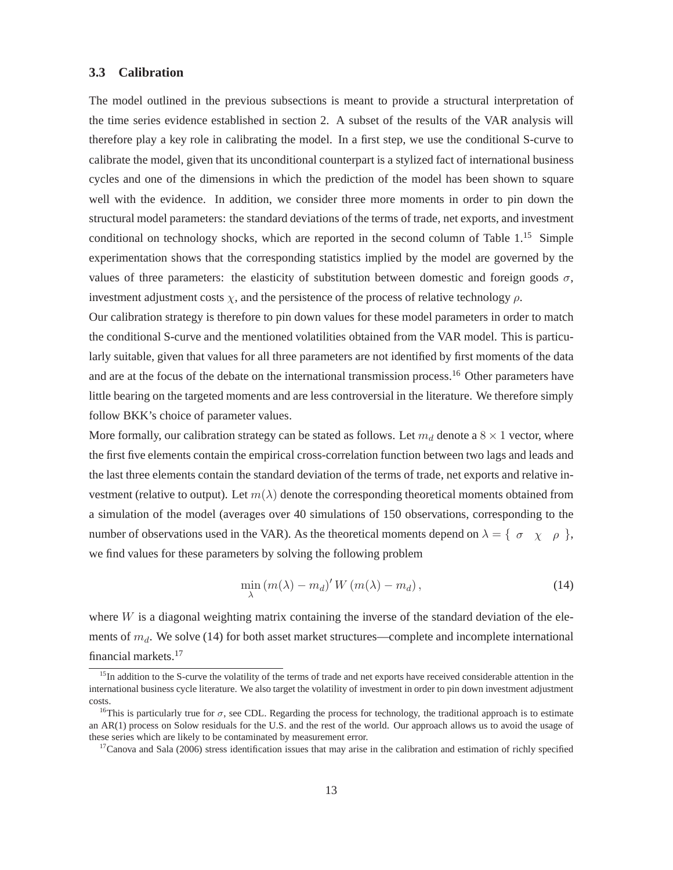#### **3.3 Calibration**

The model outlined in the previous subsections is meant to provide a structural interpretation of the time series evidence established in section 2. A subset of the results of the VAR analysis will therefore play a key role in calibrating the model. In a first step, we use the conditional S-curve to calibrate the model, given that its unconditional counterpart is a stylized fact of international business cycles and one of the dimensions in which the prediction of the model has been shown to square well with the evidence. In addition, we consider three more moments in order to pin down the structural model parameters: the standard deviations of the terms of trade, net exports, and investment conditional on technology shocks, which are reported in the second column of Table 1.<sup>15</sup> Simple experimentation shows that the corresponding statistics implied by the model are governed by the values of three parameters: the elasticity of substitution between domestic and foreign goods  $\sigma$ , investment adjustment costs  $\chi$ , and the persistence of the process of relative technology  $\rho$ .

Our calibration strategy is therefore to pin down values for these model parameters in order to match the conditional S-curve and the mentioned volatilities obtained from the VAR model. This is particularly suitable, given that values for all three parameters are not identified by first moments of the data and are at the focus of the debate on the international transmission process.<sup>16</sup> Other parameters have little bearing on the targeted moments and are less controversial in the literature. We therefore simply follow BKK's choice of parameter values.

More formally, our calibration strategy can be stated as follows. Let  $m_d$  denote a  $8 \times 1$  vector, where the first five elements contain the empirical cross-correlation function between two lags and leads and the last three elements contain the standard deviation of the terms of trade, net exports and relative investment (relative to output). Let  $m(\lambda)$  denote the corresponding theoretical moments obtained from a simulation of the model (averages over 40 simulations of 150 observations, corresponding to the number of observations used in the VAR). As the theoretical moments depend on  $\lambda = \{ \sigma \chi \rho \}$ , we find values for these parameters by solving the following problem

$$
\min_{\lambda} (m(\lambda) - m_d)' W (m(\lambda) - m_d), \qquad (14)
$$

where  $W$  is a diagonal weighting matrix containing the inverse of the standard deviation of the elements of  $m_d$ . We solve (14) for both asset market structures—complete and incomplete international financial markets.<sup>17</sup>

<sup>&</sup>lt;sup>15</sup>In addition to the S-curve the volatility of the terms of trade and net exports have received considerable attention in the international business cycle literature. We also target the volatility of investment in order to pin down investment adjustment costs.

<sup>&</sup>lt;sup>16</sup>This is particularly true for  $\sigma$ , see CDL. Regarding the process for technology, the traditional approach is to estimate an AR(1) process on Solow residuals for the U.S. and the rest of the world. Our approach allows us to avoid the usage of these series which are likely to be contaminated by measurement error.

 $17$ Canova and Sala (2006) stress identification issues that may arise in the calibration and estimation of richly specified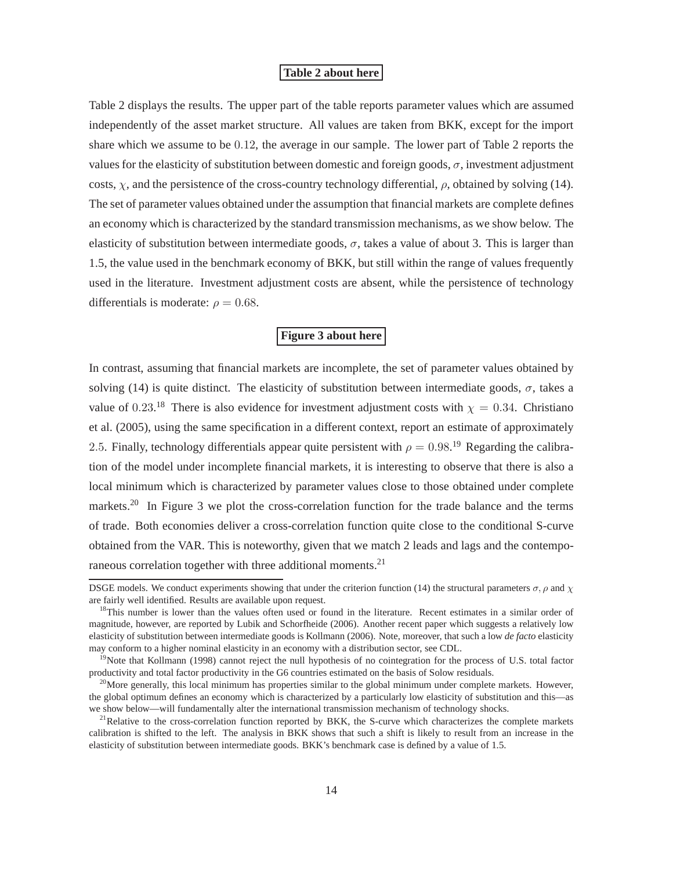#### **Table 2 about here**

Table 2 displays the results. The upper part of the table reports parameter values which are assumed independently of the asset market structure. All values are taken from BKK, except for the import share which we assume to be 0.12, the average in our sample. The lower part of Table 2 reports the values for the elasticity of substitution between domestic and foreign goods,  $\sigma$ , investment adjustment costs,  $\chi$ , and the persistence of the cross-country technology differential,  $\rho$ , obtained by solving (14). The set of parameter values obtained under the assumption that financial markets are complete defines an economy which is characterized by the standard transmission mechanisms, as we show below. The elasticity of substitution between intermediate goods,  $\sigma$ , takes a value of about 3. This is larger than 1.5, the value used in the benchmark economy of BKK, but still within the range of values frequently used in the literature. Investment adjustment costs are absent, while the persistence of technology differentials is moderate:  $\rho = 0.68$ .

#### **Figure 3 about here**

In contrast, assuming that financial markets are incomplete, the set of parameter values obtained by solving (14) is quite distinct. The elasticity of substitution between intermediate goods,  $\sigma$ , takes a value of 0.23.<sup>18</sup> There is also evidence for investment adjustment costs with  $\chi = 0.34$ . Christiano et al. (2005), using the same specification in a different context, report an estimate of approximately 2.5. Finally, technology differentials appear quite persistent with  $\rho = 0.98$ .<sup>19</sup> Regarding the calibration of the model under incomplete financial markets, it is interesting to observe that there is also a local minimum which is characterized by parameter values close to those obtained under complete markets.<sup>20</sup> In Figure 3 we plot the cross-correlation function for the trade balance and the terms of trade. Both economies deliver a cross-correlation function quite close to the conditional S-curve obtained from the VAR. This is noteworthy, given that we match 2 leads and lags and the contemporaneous correlation together with three additional moments.<sup>21</sup>

DSGE models. We conduct experiments showing that under the criterion function (14) the structural parameters  $\sigma$ ,  $\rho$  and  $\chi$ are fairly well identified. Results are available upon request.

<sup>&</sup>lt;sup>18</sup>This number is lower than the values often used or found in the literature. Recent estimates in a similar order of magnitude, however, are reported by Lubik and Schorfheide (2006). Another recent paper which suggests a relatively low elasticity of substitution between intermediate goods is Kollmann (2006). Note, moreover, that such a low *de facto* elasticity may conform to a higher nominal elasticity in an economy with a distribution sector, see CDL.

 $19$ Note that Kollmann (1998) cannot reject the null hypothesis of no cointegration for the process of U.S. total factor productivity and total factor productivity in the G6 countries estimated on the basis of Solow residuals.

 $^{20}$ More generally, this local minimum has properties similar to the global minimum under complete markets. However, the global optimum defines an economy which is characterized by a particularly low elasticity of substitution and this—as we show below—will fundamentally alter the international transmission mechanism of technology shocks.

 $21$ Relative to the cross-correlation function reported by BKK, the S-curve which characterizes the complete markets calibration is shifted to the left. The analysis in BKK shows that such a shift is likely to result from an increase in the elasticity of substitution between intermediate goods. BKK's benchmark case is defined by a value of 1.5.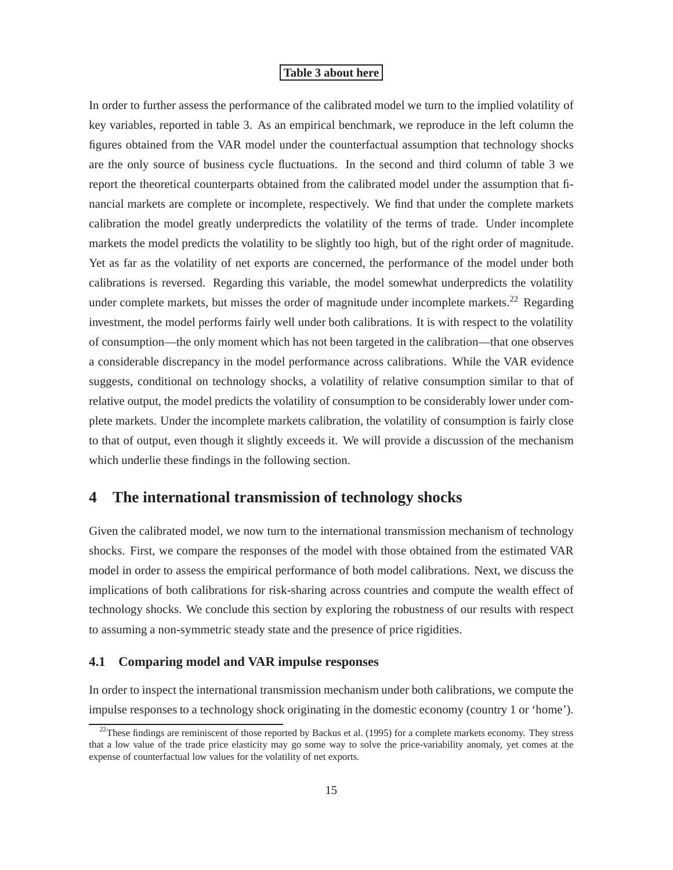### **Table 3 about here**

In order to further assess the performance of the calibrated model we turn to the implied volatility of key variables, reported in table 3. As an empirical benchmark, we reproduce in the left column the figures obtained from the VAR model under the counterfactual assumption that technology shocks are the only source of business cycle fluctuations. In the second and third column of table 3 we report the theoretical counterparts obtained from the calibrated model under the assumption that financial markets are complete or incomplete, respectively. We find that under the complete markets calibration the model greatly underpredicts the volatility of the terms of trade. Under incomplete markets the model predicts the volatility to be slightly too high, but of the right order of magnitude. Yet as far as the volatility of net exports are concerned, the performance of the model under both calibrations is reversed. Regarding this variable, the model somewhat underpredicts the volatility under complete markets, but misses the order of magnitude under incomplete markets.<sup>22</sup> Regarding investment, the model performs fairly well under both calibrations. It is with respect to the volatility of consumption—the only moment which has not been targeted in the calibration—that one observes a considerable discrepancy in the model performance across calibrations. While the VAR evidence suggests, conditional on technology shocks, a volatility of relative consumption similar to that of relative output, the model predicts the volatility of consumption to be considerably lower under complete markets. Under the incomplete markets calibration, the volatility of consumption is fairly close to that of output, even though it slightly exceeds it. We will provide a discussion of the mechanism which underlie these findings in the following section.

# **4 The international transmission of technology shocks**

Given the calibrated model, we now turn to the international transmission mechanism of technology shocks. First, we compare the responses of the model with those obtained from the estimated VAR model in order to assess the empirical performance of both model calibrations. Next, we discuss the implications of both calibrations for risk-sharing across countries and compute the wealth effect of technology shocks. We conclude this section by exploring the robustness of our results with respect to assuming a non-symmetric steady state and the presence of price rigidities.

#### **4.1 Comparing model and VAR impulse responses**

In order to inspect the international transmission mechanism under both calibrations, we compute the impulse responses to a technology shock originating in the domestic economy (country 1 or 'home').

 $^{22}$ These findings are reminiscent of those reported by Backus et al. (1995) for a complete markets economy. They stress that a low value of the trade price elasticity may go some way to solve the price-variability anomaly, yet comes at the expense of counterfactual low values for the volatility of net exports.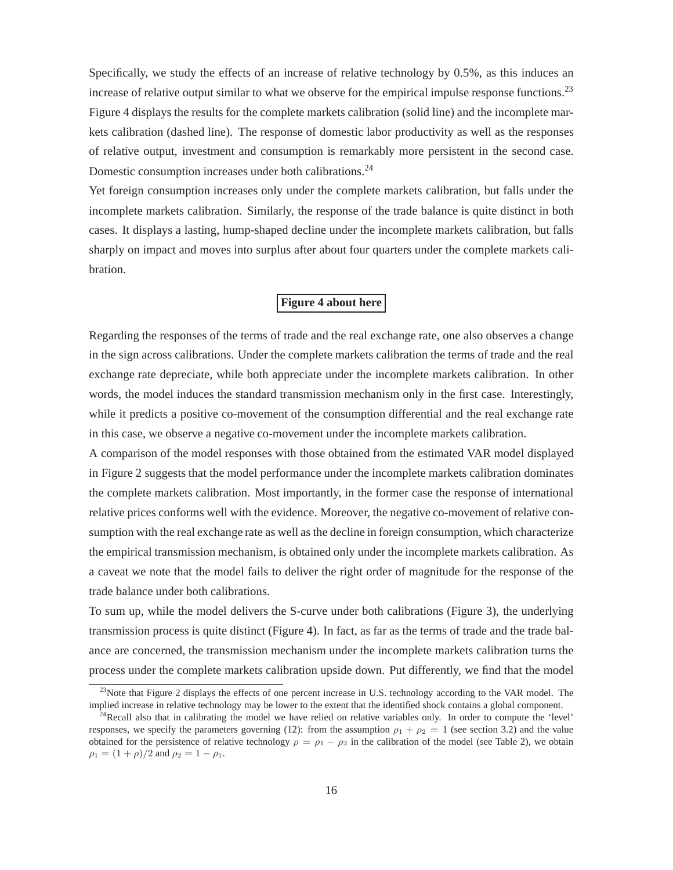Specifically, we study the effects of an increase of relative technology by 0.5%, as this induces an increase of relative output similar to what we observe for the empirical impulse response functions.<sup>23</sup> Figure 4 displays the results for the complete markets calibration (solid line) and the incomplete markets calibration (dashed line). The response of domestic labor productivity as well as the responses of relative output, investment and consumption is remarkably more persistent in the second case. Domestic consumption increases under both calibrations.<sup>24</sup>

Yet foreign consumption increases only under the complete markets calibration, but falls under the incomplete markets calibration. Similarly, the response of the trade balance is quite distinct in both cases. It displays a lasting, hump-shaped decline under the incomplete markets calibration, but falls sharply on impact and moves into surplus after about four quarters under the complete markets calibration.

#### **Figure 4 about here**

Regarding the responses of the terms of trade and the real exchange rate, one also observes a change in the sign across calibrations. Under the complete markets calibration the terms of trade and the real exchange rate depreciate, while both appreciate under the incomplete markets calibration. In other words, the model induces the standard transmission mechanism only in the first case. Interestingly, while it predicts a positive co-movement of the consumption differential and the real exchange rate in this case, we observe a negative co-movement under the incomplete markets calibration.

A comparison of the model responses with those obtained from the estimated VAR model displayed in Figure 2 suggests that the model performance under the incomplete markets calibration dominates the complete markets calibration. Most importantly, in the former case the response of international relative prices conforms well with the evidence. Moreover, the negative co-movement of relative consumption with the real exchange rate as well as the decline in foreign consumption, which characterize the empirical transmission mechanism, is obtained only under the incomplete markets calibration. As a caveat we note that the model fails to deliver the right order of magnitude for the response of the trade balance under both calibrations.

To sum up, while the model delivers the S-curve under both calibrations (Figure 3), the underlying transmission process is quite distinct (Figure 4). In fact, as far as the terms of trade and the trade balance are concerned, the transmission mechanism under the incomplete markets calibration turns the process under the complete markets calibration upside down. Put differently, we find that the model

<sup>&</sup>lt;sup>23</sup>Note that Figure 2 displays the effects of one percent increase in U.S. technology according to the VAR model. The implied increase in relative technology may be lower to the extent that the identified shock contains a global component.

 $24$ Recall also that in calibrating the model we have relied on relative variables only. In order to compute the 'level' responses, we specify the parameters governing (12): from the assumption  $\rho_1 + \rho_2 = 1$  (see section 3.2) and the value obtained for the persistence of relative technology  $\rho = \rho_1 - \rho_2$  in the calibration of the model (see Table 2), we obtain  $\rho_1 = (1 + \rho)/2$  and  $\rho_2 = 1 - \rho_1$ .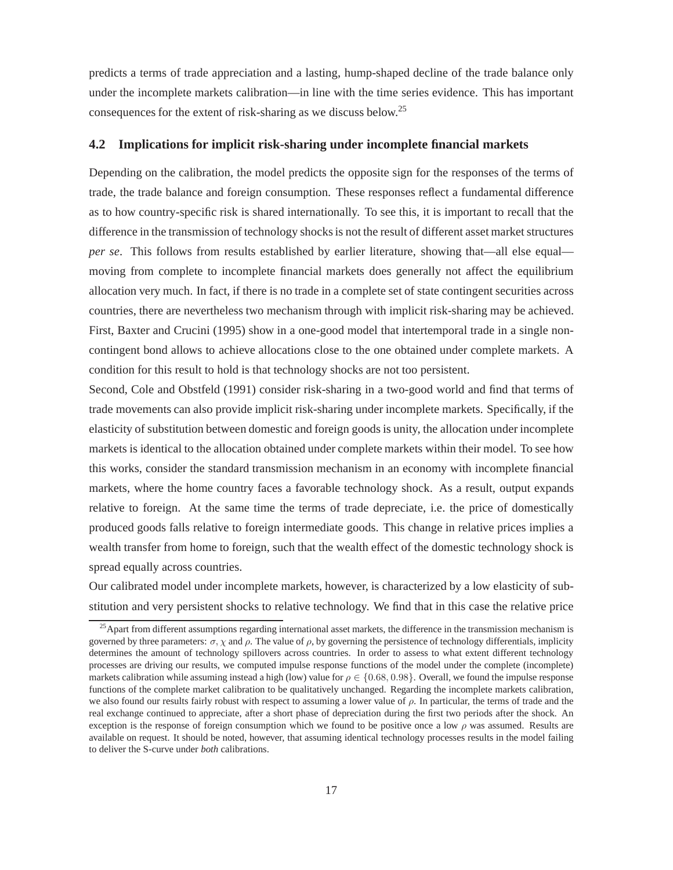predicts a terms of trade appreciation and a lasting, hump-shaped decline of the trade balance only under the incomplete markets calibration—in line with the time series evidence. This has important consequences for the extent of risk-sharing as we discuss below.<sup>25</sup>

#### **4.2 Implications for implicit risk-sharing under incomplete financial markets**

Depending on the calibration, the model predicts the opposite sign for the responses of the terms of trade, the trade balance and foreign consumption. These responses reflect a fundamental difference as to how country-specific risk is shared internationally. To see this, it is important to recall that the difference in the transmission of technology shocks is not the result of different asset market structures *per se.* This follows from results established by earlier literature, showing that—all else equal moving from complete to incomplete financial markets does generally not affect the equilibrium allocation very much. In fact, if there is no trade in a complete set of state contingent securities across countries, there are nevertheless two mechanism through with implicit risk-sharing may be achieved. First, Baxter and Crucini (1995) show in a one-good model that intertemporal trade in a single noncontingent bond allows to achieve allocations close to the one obtained under complete markets. A condition for this result to hold is that technology shocks are not too persistent.

Second, Cole and Obstfeld (1991) consider risk-sharing in a two-good world and find that terms of trade movements can also provide implicit risk-sharing under incomplete markets. Specifically, if the elasticity of substitution between domestic and foreign goods is unity, the allocation under incomplete markets is identical to the allocation obtained under complete markets within their model. To see how this works, consider the standard transmission mechanism in an economy with incomplete financial markets, where the home country faces a favorable technology shock. As a result, output expands relative to foreign. At the same time the terms of trade depreciate, i.e. the price of domestically produced goods falls relative to foreign intermediate goods. This change in relative prices implies a wealth transfer from home to foreign, such that the wealth effect of the domestic technology shock is spread equally across countries.

Our calibrated model under incomplete markets, however, is characterized by a low elasticity of substitution and very persistent shocks to relative technology. We find that in this case the relative price

 $^{25}$ Apart from different assumptions regarding international asset markets, the difference in the transmission mechanism is governed by three parameters:  $\sigma$ ,  $\chi$  and  $\rho$ . The value of  $\rho$ , by governing the persistence of technology differentials, implicity determines the amount of technology spillovers across countries. In order to assess to what extent different technology processes are driving our results, we computed impulse response functions of the model under the complete (incomplete) markets calibration while assuming instead a high (low) value for  $\rho \in \{0.68, 0.98\}$ . Overall, we found the impulse response functions of the complete market calibration to be qualitatively unchanged. Regarding the incomplete markets calibration, we also found our results fairly robust with respect to assuming a lower value of  $\rho$ . In particular, the terms of trade and the real exchange continued to appreciate, after a short phase of depreciation during the first two periods after the shock. An exception is the response of foreign consumption which we found to be positive once a low  $\rho$  was assumed. Results are available on request. It should be noted, however, that assuming identical technology processes results in the model failing to deliver the S-curve under *both* calibrations.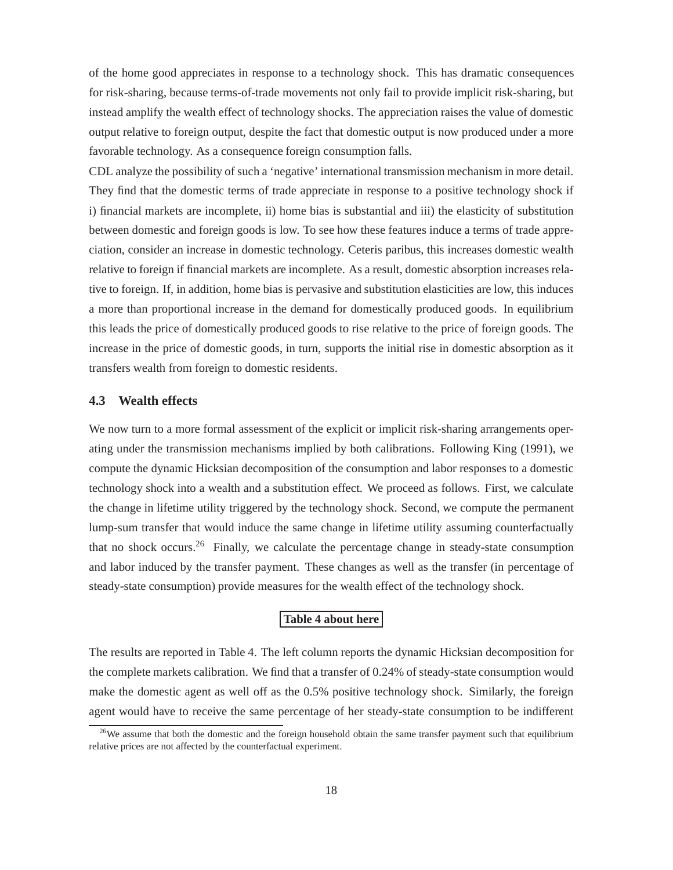of the home good appreciates in response to a technology shock. This has dramatic consequences for risk-sharing, because terms-of-trade movements not only fail to provide implicit risk-sharing, but instead amplify the wealth effect of technology shocks. The appreciation raises the value of domestic output relative to foreign output, despite the fact that domestic output is now produced under a more favorable technology. As a consequence foreign consumption falls.

CDL analyze the possibility of such a 'negative' international transmission mechanism in more detail. They find that the domestic terms of trade appreciate in response to a positive technology shock if i) financial markets are incomplete, ii) home bias is substantial and iii) the elasticity of substitution between domestic and foreign goods is low. To see how these features induce a terms of trade appreciation, consider an increase in domestic technology. Ceteris paribus, this increases domestic wealth relative to foreign if financial markets are incomplete. As a result, domestic absorption increases relative to foreign. If, in addition, home bias is pervasive and substitution elasticities are low, this induces a more than proportional increase in the demand for domestically produced goods. In equilibrium this leads the price of domestically produced goods to rise relative to the price of foreign goods. The increase in the price of domestic goods, in turn, supports the initial rise in domestic absorption as it transfers wealth from foreign to domestic residents.

#### **4.3 Wealth effects**

We now turn to a more formal assessment of the explicit or implicit risk-sharing arrangements operating under the transmission mechanisms implied by both calibrations. Following King (1991), we compute the dynamic Hicksian decomposition of the consumption and labor responses to a domestic technology shock into a wealth and a substitution effect. We proceed as follows. First, we calculate the change in lifetime utility triggered by the technology shock. Second, we compute the permanent lump-sum transfer that would induce the same change in lifetime utility assuming counterfactually that no shock occurs.<sup>26</sup> Finally, we calculate the percentage change in steady-state consumption and labor induced by the transfer payment. These changes as well as the transfer (in percentage of steady-state consumption) provide measures for the wealth effect of the technology shock.

#### **Table 4 about here**

The results are reported in Table 4. The left column reports the dynamic Hicksian decomposition for the complete markets calibration. We find that a transfer of 0.24% of steady-state consumption would make the domestic agent as well off as the 0.5% positive technology shock. Similarly, the foreign agent would have to receive the same percentage of her steady-state consumption to be indifferent

<sup>&</sup>lt;sup>26</sup>We assume that both the domestic and the foreign household obtain the same transfer payment such that equilibrium relative prices are not affected by the counterfactual experiment.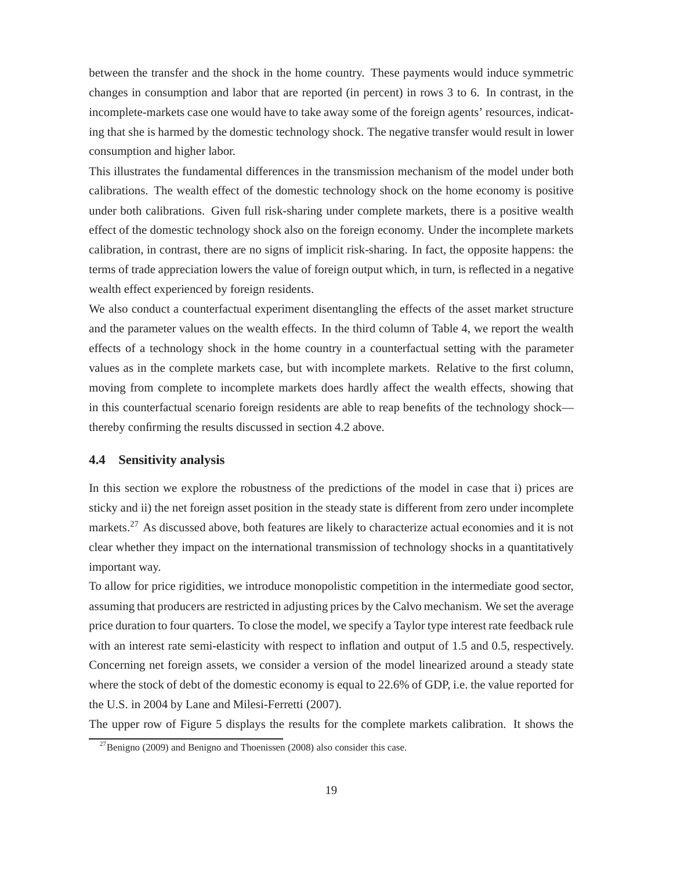between the transfer and the shock in the home country. These payments would induce symmetric changes in consumption and labor that are reported (in percent) in rows 3 to 6. In contrast, in the incomplete-markets case one would have to take away some of the foreign agents' resources, indicating that she is harmed by the domestic technology shock. The negative transfer would result in lower consumption and higher labor.

This illustrates the fundamental differences in the transmission mechanism of the model under both calibrations. The wealth effect of the domestic technology shock on the home economy is positive under both calibrations. Given full risk-sharing under complete markets, there is a positive wealth effect of the domestic technology shock also on the foreign economy. Under the incomplete markets calibration, in contrast, there are no signs of implicit risk-sharing. In fact, the opposite happens: the terms of trade appreciation lowers the value of foreign output which, in turn, is reflected in a negative wealth effect experienced by foreign residents.

We also conduct a counterfactual experiment disentangling the effects of the asset market structure and the parameter values on the wealth effects. In the third column of Table 4, we report the wealth effects of a technology shock in the home country in a counterfactual setting with the parameter values as in the complete markets case, but with incomplete markets. Relative to the first column, moving from complete to incomplete markets does hardly affect the wealth effects, showing that in this counterfactual scenario foreign residents are able to reap benefits of the technology shock thereby confirming the results discussed in section 4.2 above.

#### **4.4 Sensitivity analysis**

In this section we explore the robustness of the predictions of the model in case that i) prices are sticky and ii) the net foreign asset position in the steady state is different from zero under incomplete markets.<sup>27</sup> As discussed above, both features are likely to characterize actual economies and it is not clear whether they impact on the international transmission of technology shocks in a quantitatively important way.

To allow for price rigidities, we introduce monopolistic competition in the intermediate good sector, assuming that producers are restricted in adjusting prices by the Calvo mechanism. We set the average price duration to four quarters. To close the model, we specify a Taylor type interest rate feedback rule with an interest rate semi-elasticity with respect to inflation and output of 1.5 and 0.5, respectively. Concerning net foreign assets, we consider a version of the model linearized around a steady state where the stock of debt of the domestic economy is equal to 22.6% of GDP, i.e. the value reported for the U.S. in 2004 by Lane and Milesi-Ferretti (2007).

The upper row of Figure 5 displays the results for the complete markets calibration. It shows the

 $^{27}$ Benigno (2009) and Benigno and Thoenissen (2008) also consider this case.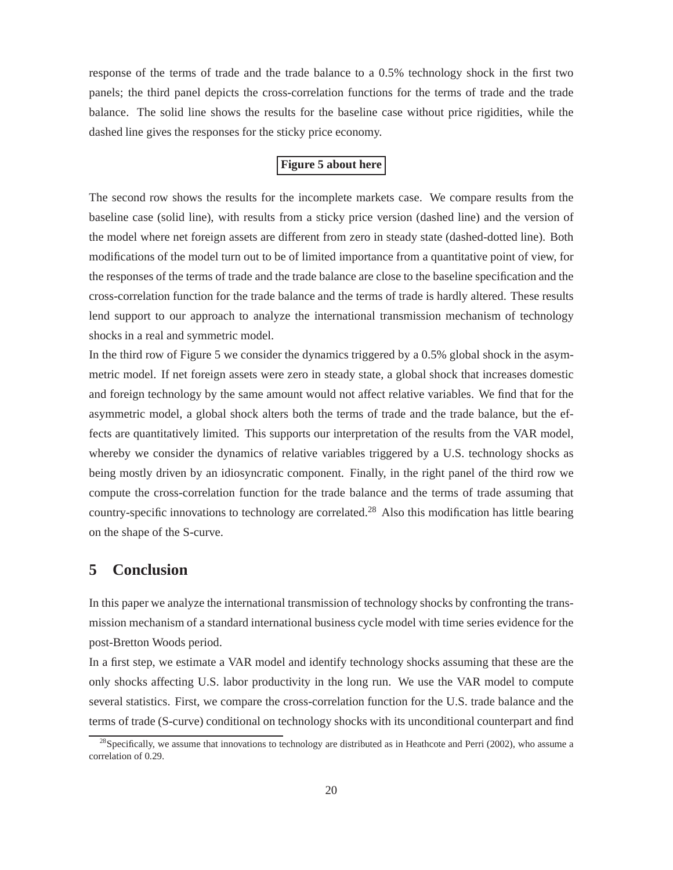response of the terms of trade and the trade balance to a 0.5% technology shock in the first two panels; the third panel depicts the cross-correlation functions for the terms of trade and the trade balance. The solid line shows the results for the baseline case without price rigidities, while the dashed line gives the responses for the sticky price economy.

### **Figure 5 about here**

The second row shows the results for the incomplete markets case. We compare results from the baseline case (solid line), with results from a sticky price version (dashed line) and the version of the model where net foreign assets are different from zero in steady state (dashed-dotted line). Both modifications of the model turn out to be of limited importance from a quantitative point of view, for the responses of the terms of trade and the trade balance are close to the baseline specification and the cross-correlation function for the trade balance and the terms of trade is hardly altered. These results lend support to our approach to analyze the international transmission mechanism of technology shocks in a real and symmetric model.

In the third row of Figure 5 we consider the dynamics triggered by a 0.5% global shock in the asymmetric model. If net foreign assets were zero in steady state, a global shock that increases domestic and foreign technology by the same amount would not affect relative variables. We find that for the asymmetric model, a global shock alters both the terms of trade and the trade balance, but the effects are quantitatively limited. This supports our interpretation of the results from the VAR model, whereby we consider the dynamics of relative variables triggered by a U.S. technology shocks as being mostly driven by an idiosyncratic component. Finally, in the right panel of the third row we compute the cross-correlation function for the trade balance and the terms of trade assuming that country-specific innovations to technology are correlated. <sup>28</sup> Also this modification has little bearing on the shape of the S-curve.

### **5 Conclusion**

In this paper we analyze the international transmission of technology shocks by confronting the transmission mechanism of a standard international business cycle model with time series evidence for the post-Bretton Woods period.

In a first step, we estimate a VAR model and identify technology shocks assuming that these are the only shocks affecting U.S. labor productivity in the long run. We use the VAR model to compute several statistics. First, we compare the cross-correlation function for the U.S. trade balance and the terms of trade (S-curve) conditional on technology shocks with its unconditional counterpart and find

<sup>&</sup>lt;sup>28</sup>Specifically, we assume that innovations to technology are distributed as in Heathcote and Perri (2002), who assume a correlation of 0.29.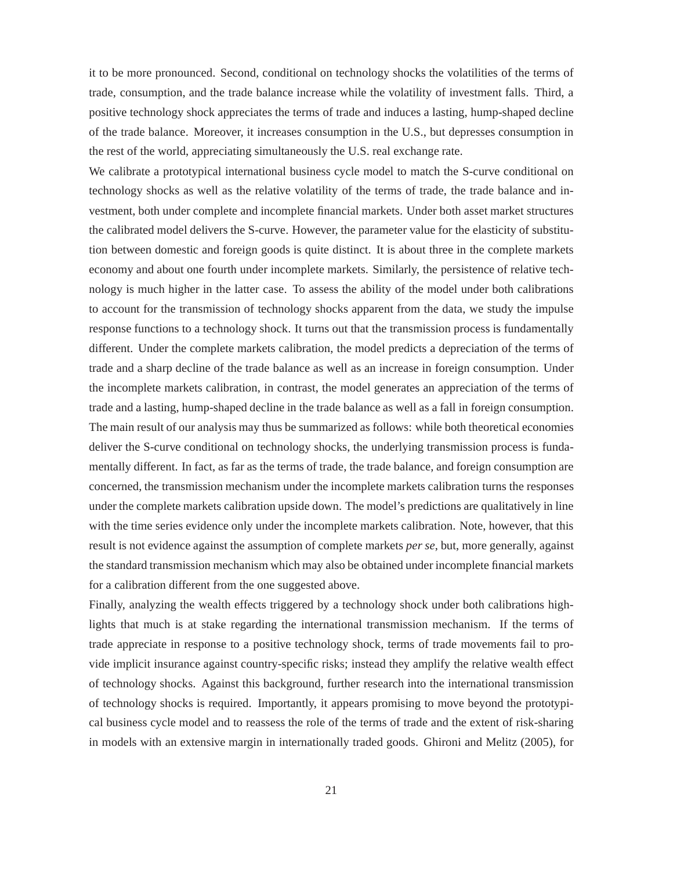it to be more pronounced. Second, conditional on technology shocks the volatilities of the terms of trade, consumption, and the trade balance increase while the volatility of investment falls. Third, a positive technology shock appreciates the terms of trade and induces a lasting, hump-shaped decline of the trade balance. Moreover, it increases consumption in the U.S., but depresses consumption in the rest of the world, appreciating simultaneously the U.S. real exchange rate.

We calibrate a prototypical international business cycle model to match the S-curve conditional on technology shocks as well as the relative volatility of the terms of trade, the trade balance and investment, both under complete and incomplete financial markets. Under both asset market structures the calibrated model delivers the S-curve. However, the parameter value for the elasticity of substitution between domestic and foreign goods is quite distinct. It is about three in the complete markets economy and about one fourth under incomplete markets. Similarly, the persistence of relative technology is much higher in the latter case. To assess the ability of the model under both calibrations to account for the transmission of technology shocks apparent from the data, we study the impulse response functions to a technology shock. It turns out that the transmission process is fundamentally different. Under the complete markets calibration, the model predicts a depreciation of the terms of trade and a sharp decline of the trade balance as well as an increase in foreign consumption. Under the incomplete markets calibration, in contrast, the model generates an appreciation of the terms of trade and a lasting, hump-shaped decline in the trade balance as well as a fall in foreign consumption. The main result of our analysis may thus be summarized as follows: while both theoretical economies deliver the S-curve conditional on technology shocks, the underlying transmission process is fundamentally different. In fact, as far as the terms of trade, the trade balance, and foreign consumption are concerned, the transmission mechanism under the incomplete markets calibration turns the responses under the complete markets calibration upside down. The model's predictions are qualitatively in line with the time series evidence only under the incomplete markets calibration. Note, however, that this result is not evidence against the assumption of complete markets *per se*, but, more generally, against the standard transmission mechanism which may also be obtained under incomplete financial markets for a calibration different from the one suggested above.

Finally, analyzing the wealth effects triggered by a technology shock under both calibrations highlights that much is at stake regarding the international transmission mechanism. If the terms of trade appreciate in response to a positive technology shock, terms of trade movements fail to provide implicit insurance against country-specific risks; instead they amplify the relative wealth effect of technology shocks. Against this background, further research into the international transmission of technology shocks is required. Importantly, it appears promising to move beyond the prototypical business cycle model and to reassess the role of the terms of trade and the extent of risk-sharing in models with an extensive margin in internationally traded goods. Ghironi and Melitz (2005), for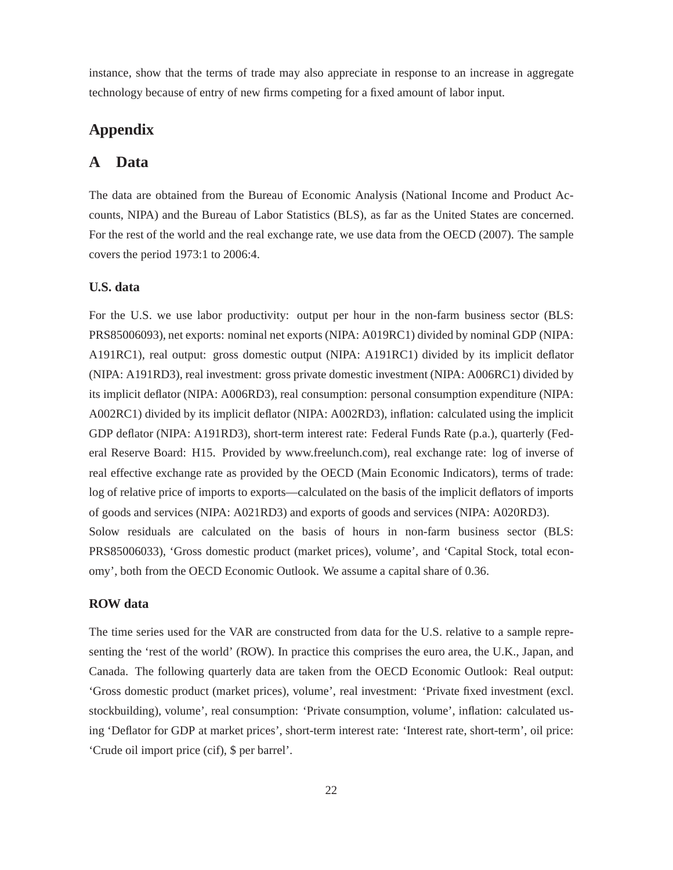instance, show that the terms of trade may also appreciate in response to an increase in aggregate technology because of entry of new firms competing for a fixed amount of labor input.

# **Appendix**

### **A Data**

The data are obtained from the Bureau of Economic Analysis (National Income and Product Accounts, NIPA) and the Bureau of Labor Statistics (BLS), as far as the United States are concerned. For the rest of the world and the real exchange rate, we use data from the OECD (2007). The sample covers the period 1973:1 to 2006:4.

#### **U.S. data**

For the U.S. we use labor productivity: output per hour in the non-farm business sector (BLS: PRS85006093), net exports: nominal net exports (NIPA: A019RC1) divided by nominal GDP (NIPA: A191RC1), real output: gross domestic output (NIPA: A191RC1) divided by its implicit deflator (NIPA: A191RD3), real investment: gross private domestic investment (NIPA: A006RC1) divided by its implicit deflator (NIPA: A006RD3), real consumption: personal consumption expenditure (NIPA: A002RC1) divided by its implicit deflator (NIPA: A002RD3), inflation: calculated using the implicit GDP deflator (NIPA: A191RD3), short-term interest rate: Federal Funds Rate (p.a.), quarterly (Federal Reserve Board: H15. Provided by www.freelunch.com), real exchange rate: log of inverse of real effective exchange rate as provided by the OECD (Main Economic Indicators), terms of trade: log of relative price of imports to exports—calculated on the basis of the implicit deflators of imports of goods and services (NIPA: A021RD3) and exports of goods and services (NIPA: A020RD3). Solow residuals are calculated on the basis of hours in non-farm business sector (BLS: PRS85006033), 'Gross domestic product (market prices), volume', and 'Capital Stock, total economy', both from the OECD Economic Outlook. We assume a capital share of 0.36.

#### **ROW data**

The time series used for the VAR are constructed from data for the U.S. relative to a sample representing the 'rest of the world' (ROW). In practice this comprises the euro area, the U.K., Japan, and Canada. The following quarterly data are taken from the OECD Economic Outlook: Real output: 'Gross domestic product (market prices), volume', real investment: 'Private fixed investment (excl. stockbuilding), volume', real consumption: 'Private consumption, volume', inflation: calculated using 'Deflator for GDP at market prices', short-term interest rate: 'Interest rate, short-term', oil price: 'Crude oil import price (cif), \$ per barrel'.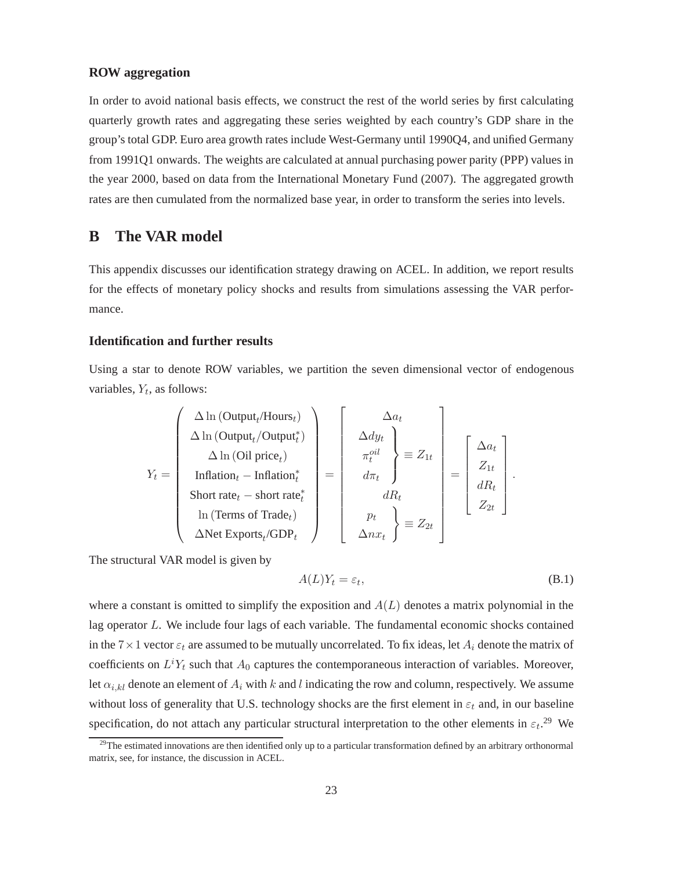#### **ROW aggregation**

In order to avoid national basis effects, we construct the rest of the world series by first calculating quarterly growth rates and aggregating these series weighted by each country's GDP share in the group's total GDP. Euro area growth rates include West-Germany until 1990Q4, and unified Germany from 1991Q1 onwards. The weights are calculated at annual purchasing power parity (PPP) values in the year 2000, based on data from the International Monetary Fund (2007). The aggregated growth rates are then cumulated from the normalized base year, in order to transform the series into levels.

### **B The VAR model**

This appendix discusses our identification strategy drawing on ACEL. In addition, we report results for the effects of monetary policy shocks and results from simulations assessing the VAR performance.

#### **Identification and further results**

Using a star to denote ROW variables, we partition the seven dimensional vector of endogenous variables,  $Y_t$ , as follows:

$$
Y_t = \begin{pmatrix} \Delta \ln (\text{Output}_t / \text{Hours}_t) \\ \Delta \ln (\text{Output}_t / \text{Output}_t^*) \\ \text{In (Dil price}_t) \\ \text{In (Ierms of Trade}_t) \\ \text{In (Terms of Trade}_t) \\ \Delta \text{Net Exports}_t / \text{GDP}_t \end{pmatrix} = \begin{bmatrix} \Delta a_t \\ \Delta d y_t \\ \pi_t^{oil} \\ d\pi_t \\ dR_t \\ dR_t \\ p_t \\ p_t \\ \Delta nx_t \end{bmatrix} \equiv Z_{1t} \begin{bmatrix} \Delta a_t \\ Z_{1t} \\ dR_t \\ Z_{2t} \end{bmatrix}.
$$

The structural VAR model is given by

$$
A(L)Y_t = \varepsilon_t, \tag{B.1}
$$

where a constant is omitted to simplify the exposition and  $A(L)$  denotes a matrix polynomial in the lag operator L. We include four lags of each variable. The fundamental economic shocks contained in the  $7 \times 1$  vector  $\varepsilon_t$  are assumed to be mutually uncorrelated. To fix ideas, let  $A_i$  denote the matrix of coefficients on  $L^i Y_t$  such that  $A_0$  captures the contemporaneous interaction of variables. Moreover, let  $\alpha_{i,kl}$  denote an element of  $A_i$  with k and l indicating the row and column, respectively. We assume without loss of generality that U.S. technology shocks are the first element in  $\varepsilon_t$  and, in our baseline specification, do not attach any particular structural interpretation to the other elements in  $\varepsilon_t$ .<sup>29</sup> We

<sup>&</sup>lt;sup>29</sup>The estimated innovations are then identified only up to a particular transformation defined by an arbitrary orthonormal matrix, see, for instance, the discussion in ACEL.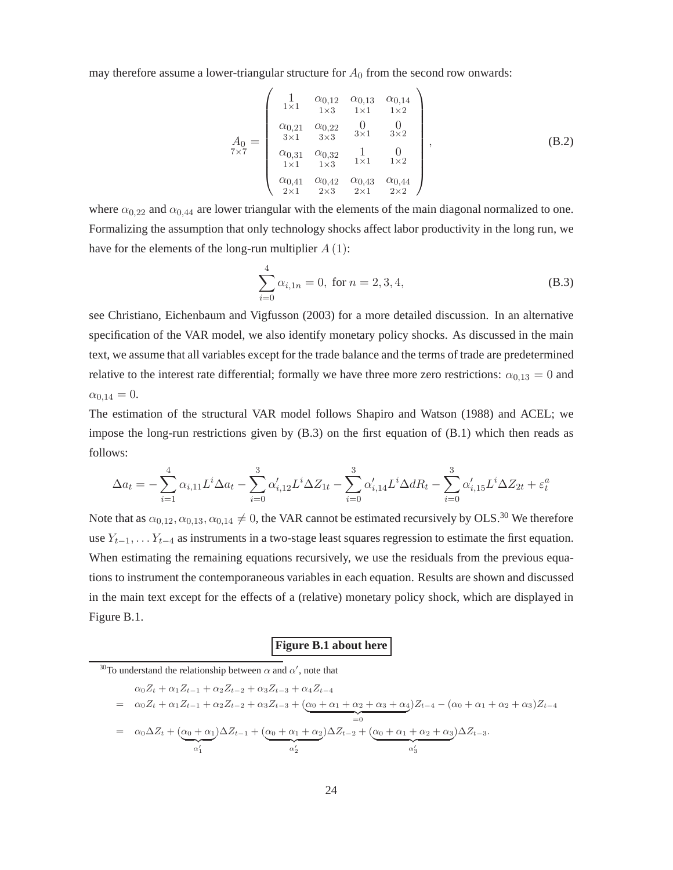may therefore assume a lower-triangular structure for  $A_0$  from the second row onwards:

$$
A_{0} = \begin{pmatrix} 1 & \alpha_{0,12} & \alpha_{0,13} & \alpha_{0,14} \\ 1 \times 1 & 1 \times 3 & 1 \times 1 & 1 \times 2 \\ \alpha_{0,21} & \alpha_{0,22} & 0 & 0 \\ 3 \times 1 & 3 \times 3 & 3 \times 1 & 3 \times 2 \\ \alpha_{0,31} & \alpha_{0,32} & 1 & 0 \\ 1 \times 1 & 1 \times 3 & 1 \times 1 & 1 \times 2 \\ \alpha_{0,41} & \alpha_{0,42} & \alpha_{0,43} & \alpha_{0,44} \\ 2 \times 1 & 2 \times 3 & 2 \times 1 & 2 \times 2 \end{pmatrix},
$$
 (B.2)

where  $\alpha_{0,22}$  and  $\alpha_{0,44}$  are lower triangular with the elements of the main diagonal normalized to one. Formalizing the assumption that only technology shocks affect labor productivity in the long run, we have for the elements of the long-run multiplier  $A(1)$ :

$$
\sum_{i=0}^{4} \alpha_{i,1n} = 0, \text{ for } n = 2, 3, 4,
$$
 (B.3)

see Christiano, Eichenbaum and Vigfusson (2003) for a more detailed discussion. In an alternative specification of the VAR model, we also identify monetary policy shocks. As discussed in the main text, we assume that all variables except for the trade balance and the terms of trade are predetermined relative to the interest rate differential; formally we have three more zero restrictions:  $\alpha_{0,13} = 0$  and  $\alpha_{0,14} = 0.$ 

The estimation of the structural VAR model follows Shapiro and Watson (1988) and ACEL; we impose the long-run restrictions given by (B.3) on the first equation of (B.1) which then reads as follows:

$$
\Delta a_t = -\sum_{i=1}^4 \alpha_{i,11} L^i \Delta a_t - \sum_{i=0}^3 \alpha'_{i,12} L^i \Delta Z_{1t} - \sum_{i=0}^3 \alpha'_{i,14} L^i \Delta dR_t - \sum_{i=0}^3 \alpha'_{i,15} L^i \Delta Z_{2t} + \varepsilon_t^a
$$

Note that as  $\alpha_{0,12}, \alpha_{0,13}, \alpha_{0,14} \neq 0$ , the VAR cannot be estimated recursively by OLS.<sup>30</sup> We therefore use  $Y_{t-1}, \ldots Y_{t-4}$  as instruments in a two-stage least squares regression to estimate the first equation. When estimating the remaining equations recursively, we use the residuals from the previous equations to instrument the contemporaneous variables in each equation. Results are shown and discussed in the main text except for the effects of a (relative) monetary policy shock, which are displayed in Figure B.1.

#### **Figure B.1 about here**

<sup>30</sup>To understand the relationship between  $\alpha$  and  $\alpha'$ , note that

$$
\alpha_0 Z_t + \alpha_1 Z_{t-1} + \alpha_2 Z_{t-2} + \alpha_3 Z_{t-3} + \alpha_4 Z_{t-4}
$$
\n
$$
= \alpha_0 Z_t + \alpha_1 Z_{t-1} + \alpha_2 Z_{t-2} + \alpha_3 Z_{t-3} + (\underbrace{\alpha_0 + \alpha_1 + \alpha_2 + \alpha_3 + \alpha_4}_{=0}) Z_{t-4} - (\alpha_0 + \alpha_1 + \alpha_2 + \alpha_3) Z_{t-4}
$$
\n
$$
= \alpha_0 \Delta Z_t + (\underbrace{\alpha_0 + \alpha_1}_{\alpha'_1}) \Delta Z_{t-1} + (\underbrace{\alpha_0 + \alpha_1 + \alpha_2}_{\alpha'_2}) \Delta Z_{t-2} + (\underbrace{\alpha_0 + \alpha_1 + \alpha_2 + \alpha_3}_{\alpha'_3}) \Delta Z_{t-3}.
$$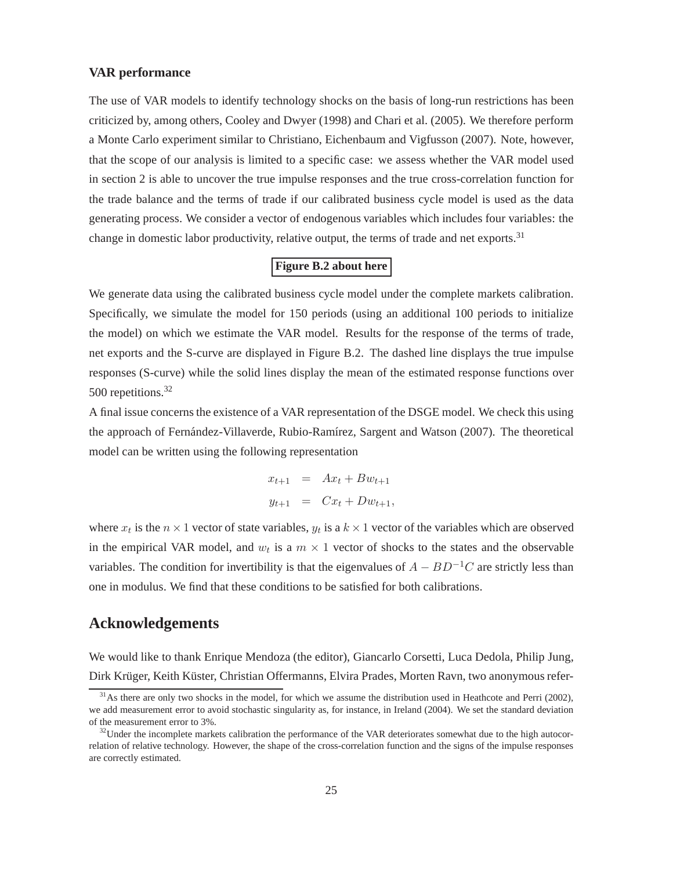#### **VAR performance**

The use of VAR models to identify technology shocks on the basis of long-run restrictions has been criticized by, among others, Cooley and Dwyer (1998) and Chari et al. (2005). We therefore perform a Monte Carlo experiment similar to Christiano, Eichenbaum and Vigfusson (2007). Note, however, that the scope of our analysis is limited to a specific case: we assess whether the VAR model used in section 2 is able to uncover the true impulse responses and the true cross-correlation function for the trade balance and the terms of trade if our calibrated business cycle model is used as the data generating process. We consider a vector of endogenous variables which includes four variables: the change in domestic labor productivity, relative output, the terms of trade and net exports.<sup>31</sup>

### **Figure B.2 about here**

We generate data using the calibrated business cycle model under the complete markets calibration. Specifically, we simulate the model for 150 periods (using an additional 100 periods to initialize the model) on which we estimate the VAR model. Results for the response of the terms of trade, net exports and the S-curve are displayed in Figure B.2. The dashed line displays the true impulse responses (S-curve) while the solid lines display the mean of the estimated response functions over 500 repetitions.<sup>32</sup>

A final issue concerns the existence of a VAR representation of the DSGE model. We check this using the approach of Fernández-Villaverde, Rubio-Ramírez, Sargent and Watson (2007). The theoretical model can be written using the following representation

$$
x_{t+1} = Ax_t + Bw_{t+1}
$$
  

$$
y_{t+1} = Cx_t + Dw_{t+1},
$$

where  $x_t$  is the  $n \times 1$  vector of state variables,  $y_t$  is a  $k \times 1$  vector of the variables which are observed in the empirical VAR model, and  $w_t$  is a  $m \times 1$  vector of shocks to the states and the observable variables. The condition for invertibility is that the eigenvalues of  $A - BD^{-1}C$  are strictly less than one in modulus. We find that these conditions to be satisfied for both calibrations.

### **Acknowledgements**

We would like to thank Enrique Mendoza (the editor), Giancarlo Corsetti, Luca Dedola, Philip Jung, Dirk Krüger, Keith Küster, Christian Offermanns, Elvira Prades, Morten Ravn, two anonymous refer-

 $31$ As there are only two shocks in the model, for which we assume the distribution used in Heathcote and Perri (2002), we add measurement error to avoid stochastic singularity as, for instance, in Ireland (2004). We set the standard deviation of the measurement error to 3%.

 $32$ Under the incomplete markets calibration the performance of the VAR deteriorates somewhat due to the high autocorrelation of relative technology. However, the shape of the cross-correlation function and the signs of the impulse responses are correctly estimated.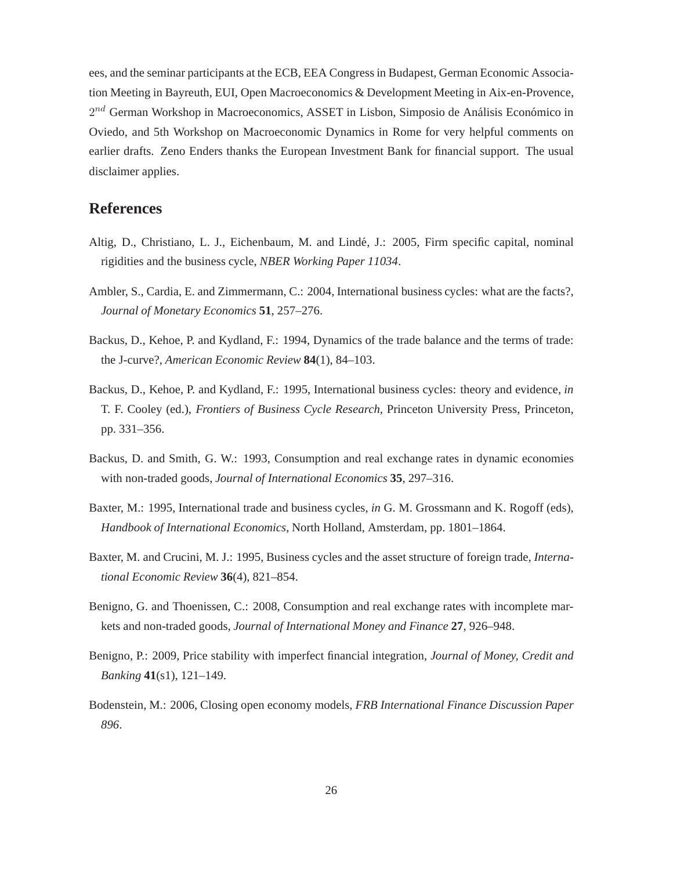ees, and the seminar participants at the ECB, EEA Congress in Budapest, German Economic Association Meeting in Bayreuth, EUI, Open Macroeconomics & Development Meeting in Aix-en-Provence,  $2^{nd}$  German Workshop in Macroeconomics, ASSET in Lisbon, Simposio de Análisis Económico in Oviedo, and 5th Workshop on Macroeconomic Dynamics in Rome for very helpful comments on earlier drafts. Zeno Enders thanks the European Investment Bank for financial support. The usual disclaimer applies.

### **References**

- Altig, D., Christiano, L. J., Eichenbaum, M. and Lindé, J.: 2005, Firm specific capital, nominal rigidities and the business cycle, *NBER Working Paper 11034*.
- Ambler, S., Cardia, E. and Zimmermann, C.: 2004, International business cycles: what are the facts?, *Journal of Monetary Economics* **51**, 257–276.
- Backus, D., Kehoe, P. and Kydland, F.: 1994, Dynamics of the trade balance and the terms of trade: the J-curve?, *American Economic Review* **84**(1), 84–103.
- Backus, D., Kehoe, P. and Kydland, F.: 1995, International business cycles: theory and evidence, *in* T. F. Cooley (ed.), *Frontiers of Business Cycle Research*, Princeton University Press, Princeton, pp. 331–356.
- Backus, D. and Smith, G. W.: 1993, Consumption and real exchange rates in dynamic economies with non-traded goods, *Journal of International Economics* **35**, 297–316.
- Baxter, M.: 1995, International trade and business cycles, *in* G. M. Grossmann and K. Rogoff (eds), *Handbook of International Economics*, North Holland, Amsterdam, pp. 1801–1864.
- Baxter, M. and Crucini, M. J.: 1995, Business cycles and the asset structure of foreign trade, *International Economic Review* **36**(4), 821–854.
- Benigno, G. and Thoenissen, C.: 2008, Consumption and real exchange rates with incomplete markets and non-traded goods, *Journal of International Money and Finance* **27**, 926–948.
- Benigno, P.: 2009, Price stability with imperfect financial integration, *Journal of Money, Credit and Banking* **41**(s1), 121–149.
- Bodenstein, M.: 2006, Closing open economy models, *FRB International Finance Discussion Paper 896*.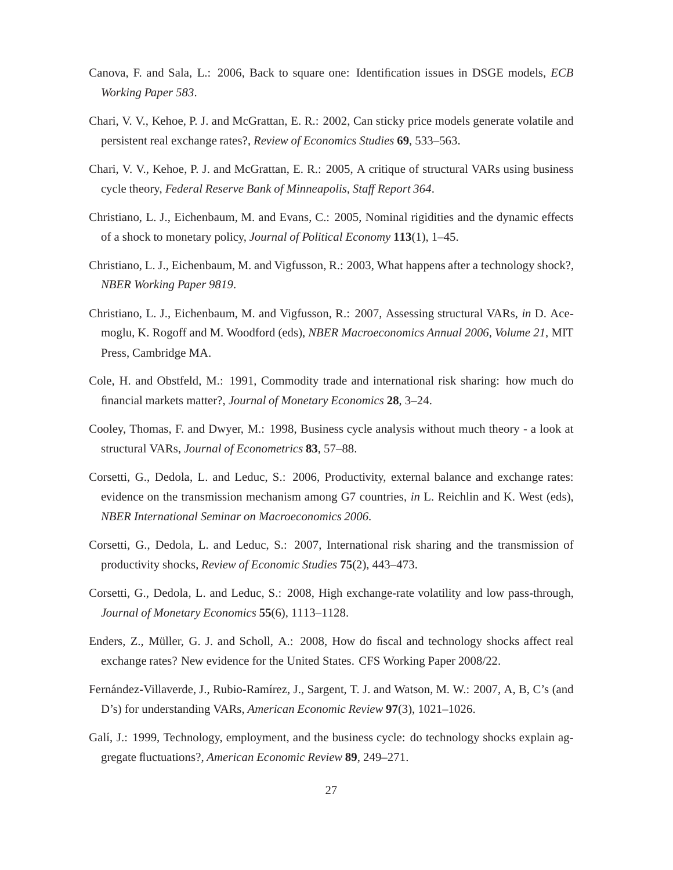- Canova, F. and Sala, L.: 2006, Back to square one: Identification issues in DSGE models, *ECB Working Paper 583*.
- Chari, V. V., Kehoe, P. J. and McGrattan, E. R.: 2002, Can sticky price models generate volatile and persistent real exchange rates?, *Review of Economics Studies* **69**, 533–563.
- Chari, V. V., Kehoe, P. J. and McGrattan, E. R.: 2005, A critique of structural VARs using business cycle theory, *Federal Reserve Bank of Minneapolis, Staff Report 364*.
- Christiano, L. J., Eichenbaum, M. and Evans, C.: 2005, Nominal rigidities and the dynamic effects of a shock to monetary policy, *Journal of Political Economy* **113**(1), 1–45.
- Christiano, L. J., Eichenbaum, M. and Vigfusson, R.: 2003, What happens after a technology shock?, *NBER Working Paper 9819*.
- Christiano, L. J., Eichenbaum, M. and Vigfusson, R.: 2007, Assessing structural VARs, *in* D. Acemoglu, K. Rogoff and M. Woodford (eds), *NBER Macroeconomics Annual 2006, Volume 21*, MIT Press, Cambridge MA.
- Cole, H. and Obstfeld, M.: 1991, Commodity trade and international risk sharing: how much do financial markets matter?, *Journal of Monetary Economics* **28**, 3–24.
- Cooley, Thomas, F. and Dwyer, M.: 1998, Business cycle analysis without much theory a look at structural VARs, *Journal of Econometrics* **83**, 57–88.
- Corsetti, G., Dedola, L. and Leduc, S.: 2006, Productivity, external balance and exchange rates: evidence on the transmission mechanism among G7 countries, *in* L. Reichlin and K. West (eds), *NBER International Seminar on Macroeconomics 2006*.
- Corsetti, G., Dedola, L. and Leduc, S.: 2007, International risk sharing and the transmission of productivity shocks, *Review of Economic Studies* **75**(2), 443–473.
- Corsetti, G., Dedola, L. and Leduc, S.: 2008, High exchange-rate volatility and low pass-through, *Journal of Monetary Economics* **55**(6), 1113–1128.
- Enders, Z., Müller, G. J. and Scholl, A.: 2008, How do fiscal and technology shocks affect real exchange rates? New evidence for the United States. CFS Working Paper 2008/22.
- Fernández-Villaverde, J., Rubio-Ramírez, J., Sargent, T. J. and Watson, M. W.: 2007, A, B, C's (and D's) for understanding VARs, *American Economic Review* **97**(3), 1021–1026.
- Galí, J.: 1999, Technology, employment, and the business cycle: do technology shocks explain aggregate fluctuations?, *American Economic Review* **89**, 249–271.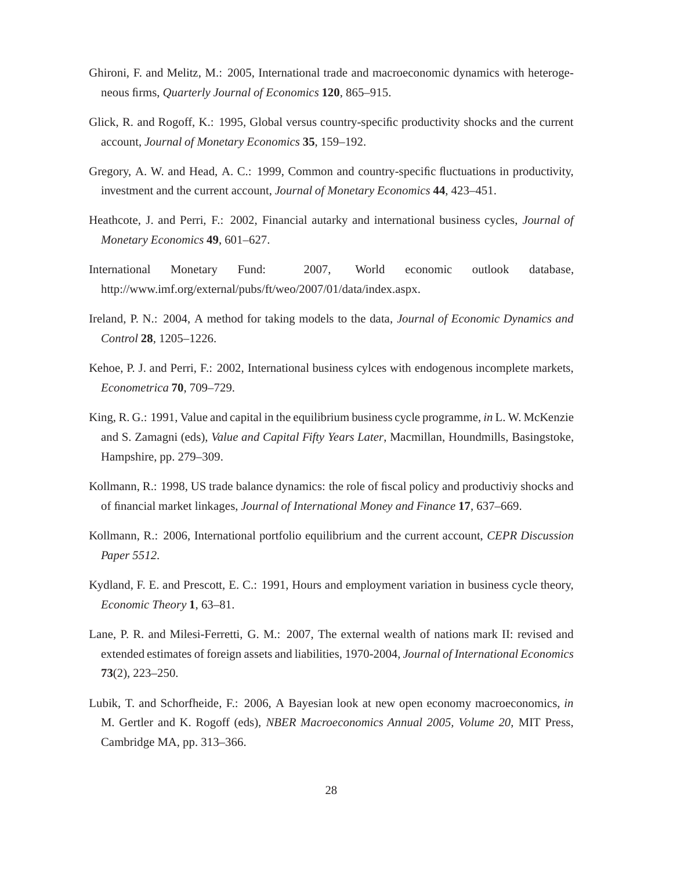- Ghironi, F. and Melitz, M.: 2005, International trade and macroeconomic dynamics with heterogeneous firms, *Quarterly Journal of Economics* **120**, 865–915.
- Glick, R. and Rogoff, K.: 1995, Global versus country-specific productivity shocks and the current account, *Journal of Monetary Economics* **35**, 159–192.
- Gregory, A. W. and Head, A. C.: 1999, Common and country-specific fluctuations in productivity, investment and the current account, *Journal of Monetary Economics* **44**, 423–451.
- Heathcote, J. and Perri, F.: 2002, Financial autarky and international business cycles, *Journal of Monetary Economics* **49**, 601–627.
- International Monetary Fund: 2007, World economic outlook database, http://www.imf.org/external/pubs/ft/weo/2007/01/data/index.aspx.
- Ireland, P. N.: 2004, A method for taking models to the data, *Journal of Economic Dynamics and Control* **28**, 1205–1226.
- Kehoe, P. J. and Perri, F.: 2002, International business cylces with endogenous incomplete markets, *Econometrica* **70**, 709–729.
- King, R. G.: 1991, Value and capital in the equilibrium business cycle programme, *in* L. W. McKenzie and S. Zamagni (eds), *Value and Capital Fifty Years Later*, Macmillan, Houndmills, Basingstoke, Hampshire, pp. 279–309.
- Kollmann, R.: 1998, US trade balance dynamics: the role of fiscal policy and productiviy shocks and of financial market linkages, *Journal of International Money and Finance* **17**, 637–669.
- Kollmann, R.: 2006, International portfolio equilibrium and the current account, *CEPR Discussion Paper 5512*.
- Kydland, F. E. and Prescott, E. C.: 1991, Hours and employment variation in business cycle theory, *Economic Theory* **1**, 63–81.
- Lane, P. R. and Milesi-Ferretti, G. M.: 2007, The external wealth of nations mark II: revised and extended estimates of foreign assets and liabilities, 1970-2004, *Journal of International Economics* **73**(2), 223–250.
- Lubik, T. and Schorfheide, F.: 2006, A Bayesian look at new open economy macroeconomics, *in* M. Gertler and K. Rogoff (eds), *NBER Macroeconomics Annual 2005, Volume 20*, MIT Press, Cambridge MA, pp. 313–366.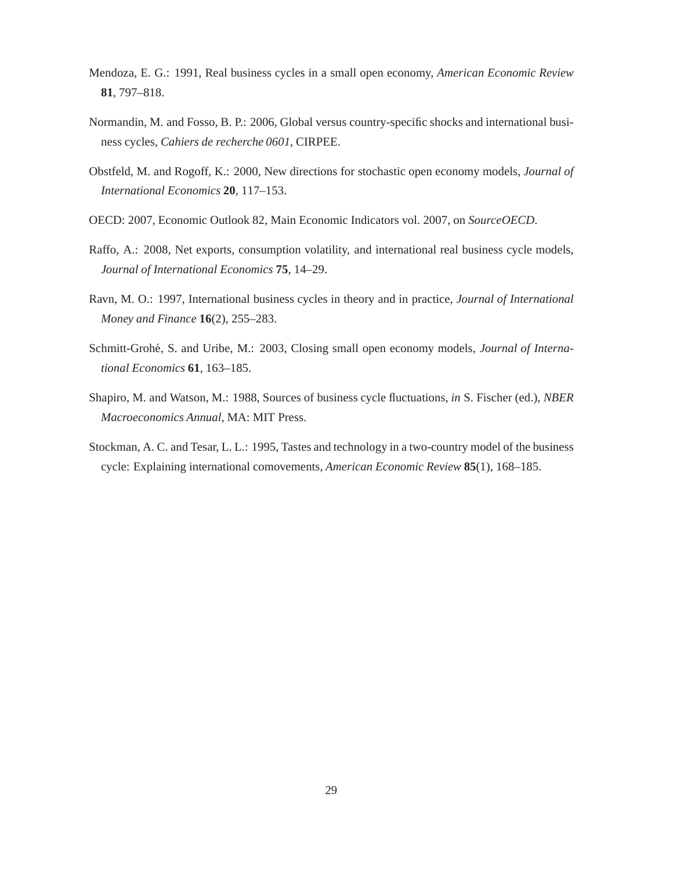- Mendoza, E. G.: 1991, Real business cycles in a small open economy, *American Economic Review* **81**, 797–818.
- Normandin, M. and Fosso, B. P.: 2006, Global versus country-specific shocks and international business cycles, *Cahiers de recherche 0601*, CIRPEE.
- Obstfeld, M. and Rogoff, K.: 2000, New directions for stochastic open economy models, *Journal of International Economics* **20**, 117–153.
- OECD: 2007, Economic Outlook 82, Main Economic Indicators vol. 2007, on *SourceOECD*.
- Raffo, A.: 2008, Net exports, consumption volatility, and international real business cycle models, *Journal of International Economics* **75**, 14–29.
- Ravn, M. O.: 1997, International business cycles in theory and in practice, *Journal of International Money and Finance* **16**(2), 255–283.
- Schmitt-Grohé, S. and Uribe, M.: 2003, Closing small open economy models, *Journal of International Economics* **61**, 163–185.
- Shapiro, M. and Watson, M.: 1988, Sources of business cycle fluctuations, *in* S. Fischer (ed.), *NBER Macroeconomics Annual*, MA: MIT Press.
- Stockman, A. C. and Tesar, L. L.: 1995, Tastes and technology in a two-country model of the business cycle: Explaining international comovements, *American Economic Review* **85**(1), 168–185.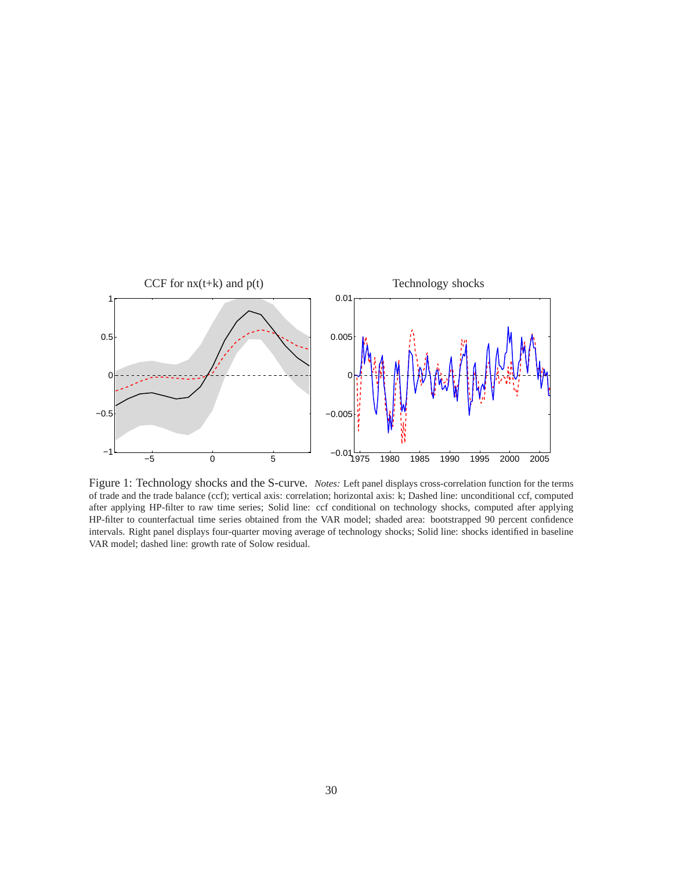

Figure 1: Technology shocks and the S-curve. *Notes:* Left panel displays cross-correlation function for the terms of trade and the trade balance (ccf); vertical axis: correlation; horizontal axis: k; Dashed line: unconditional ccf, computed after applying HP-filter to raw time series; Solid line: ccf conditional on technology shocks, computed after applying HP-filter to counterfactual time series obtained from the VAR model; shaded area: bootstrapped 90 percent confidence intervals. Right panel displays four-quarter moving average of technology shocks; Solid line: shocks identified in baseline VAR model; dashed line: growth rate of Solow residual.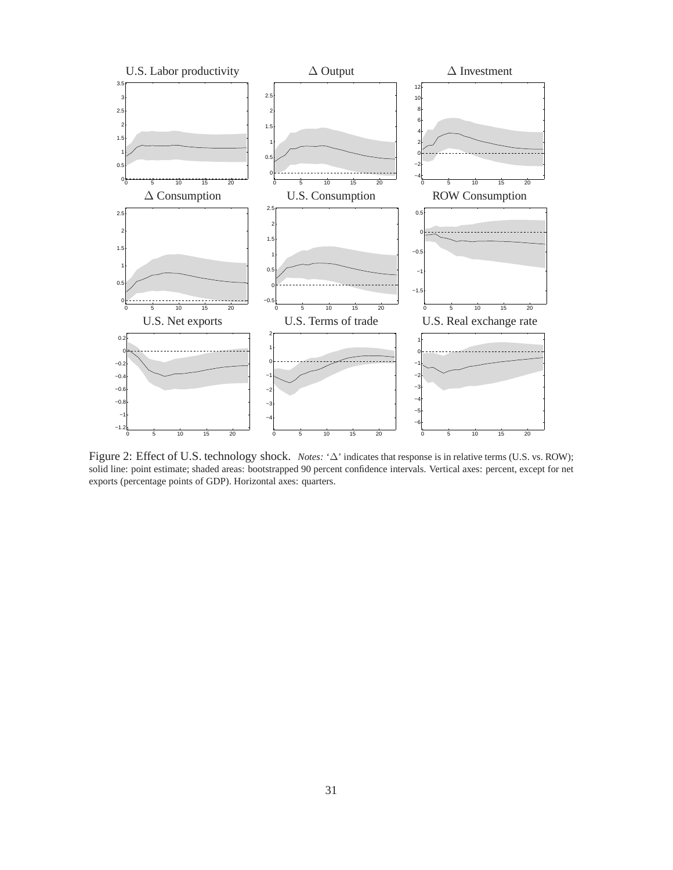

Figure 2: Effect of U.S. technology shock. *Notes:* '∆' indicates that response is in relative terms (U.S. vs. ROW); solid line: point estimate; shaded areas: bootstrapped 90 percent confidence intervals. Vertical axes: percent, except for net exports (percentage points of GDP). Horizontal axes: quarters.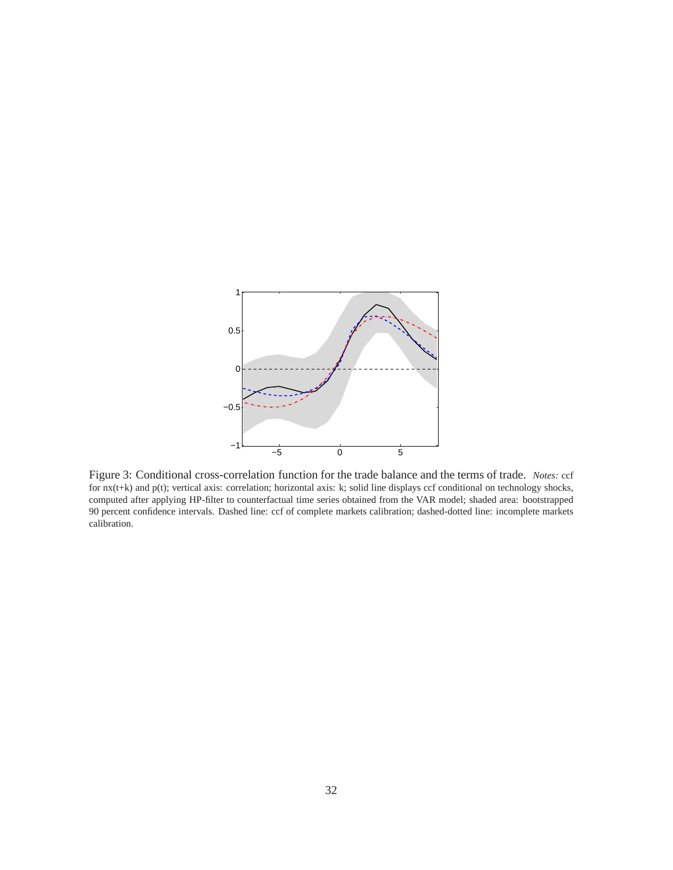

Figure 3: Conditional cross-correlation function for the trade balance and the terms of trade. *Notes:* ccf for nx(t+k) and p(t); vertical axis: correlation; horizontal axis: k; solid line displays ccf conditional on technology shocks, computed after applying HP-filter to counterfactual time series obtained from the VAR model; shaded area: bootstrapped 90 percent confidence intervals. Dashed line: ccf of complete markets calibration; dashed-dotted line: incomplete markets calibration.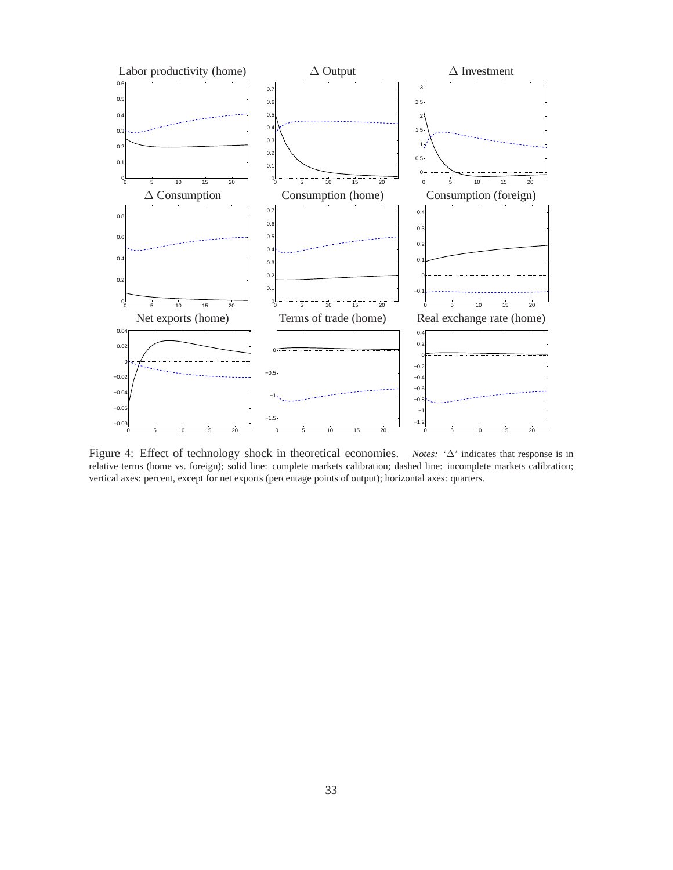

Figure 4: Effect of technology shock in theoretical economies. *Notes:* '∆' indicates that response is in relative terms (home vs. foreign); solid line: complete markets calibration; dashed line: incomplete markets calibration; vertical axes: percent, except for net exports (percentage points of output); horizontal axes: quarters.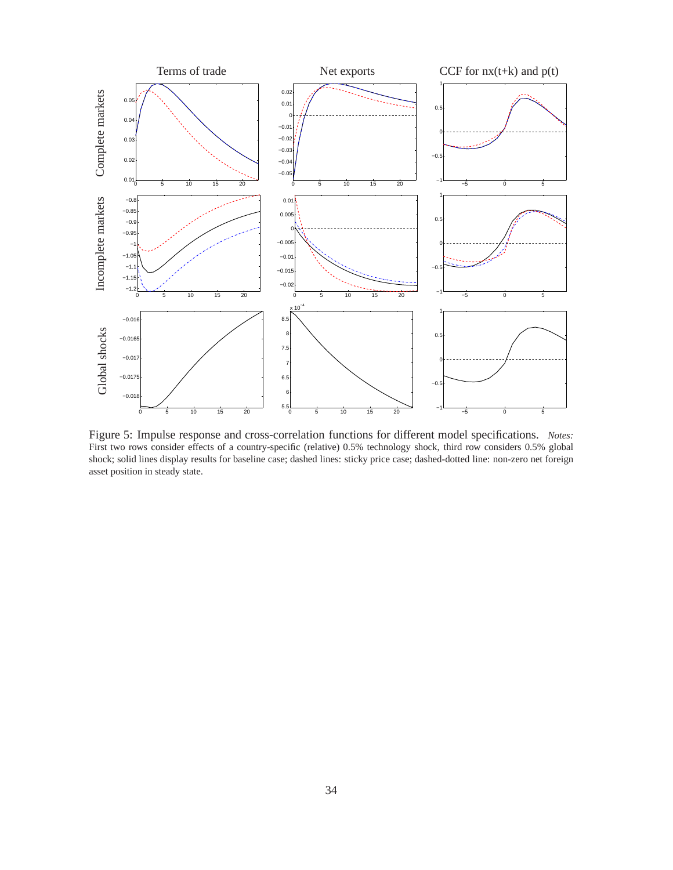

Figure 5: Impulse response and cross-correlation functions for different model specifications. *Notes:* First two rows consider effects of a country-specific (relative) 0.5% technology shock, third row considers 0.5% global shock; solid lines display results for baseline case; dashed lines: sticky price case; dashed-dotted line: non-zero net foreign asset position in steady state.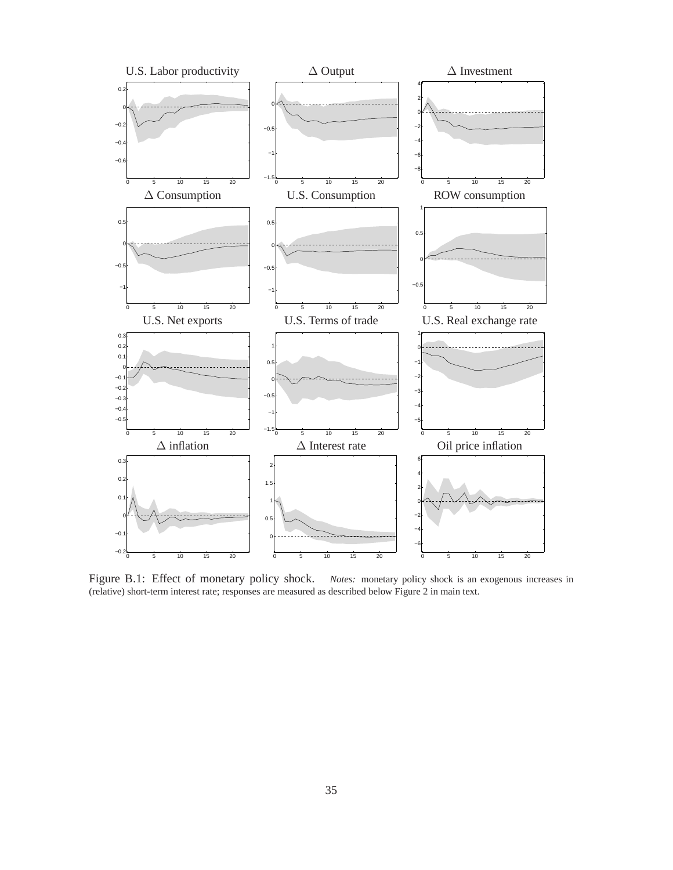

Figure B.1: Effect of monetary policy shock. *Notes:* monetary policy shock is an exogenous increases in (relative) short-term interest rate; responses are measured as described below Figure 2 in main text.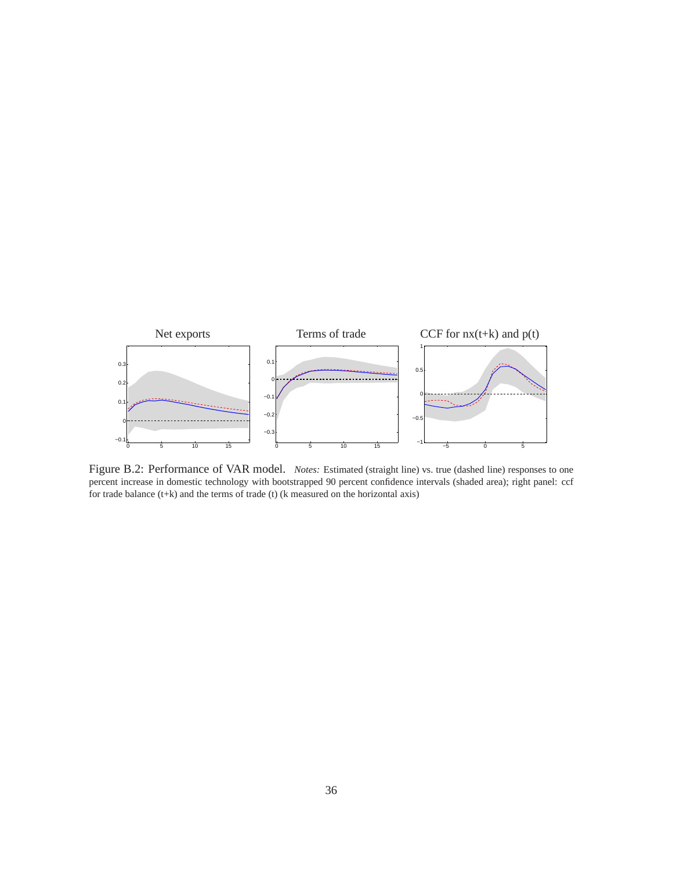

Figure B.2: Performance of VAR model. *Notes:* Estimated (straight line) vs. true (dashed line) responses to one percent increase in domestic technology with bootstrapped 90 percent confidence intervals (shaded area); right panel: ccf for trade balance (t+k) and the terms of trade (t) (k measured on the horizontal axis)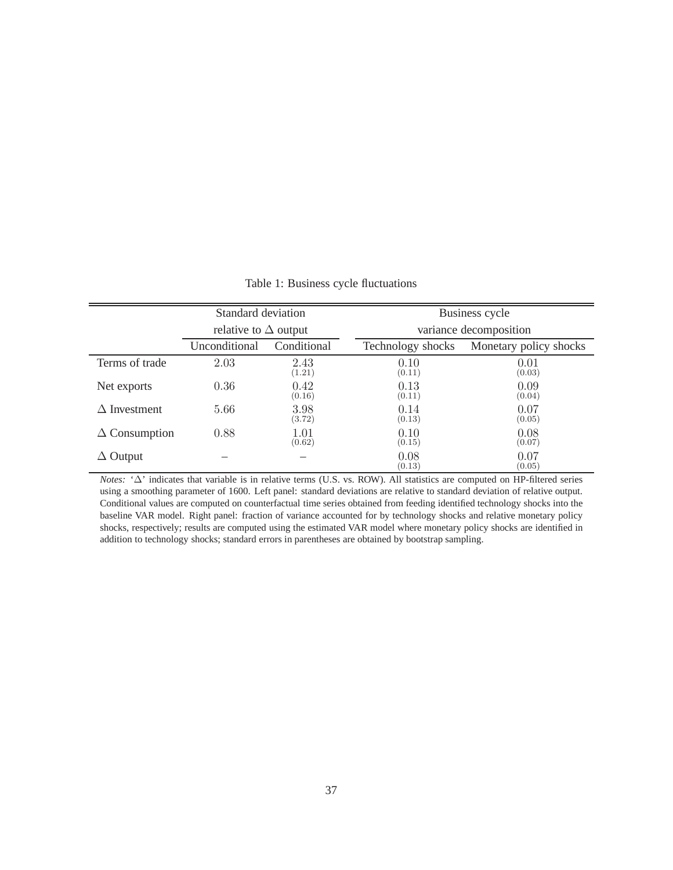| Table 1. Dustriess even muchamons |                                                   |                |                                          |                        |  |
|-----------------------------------|---------------------------------------------------|----------------|------------------------------------------|------------------------|--|
|                                   | Standard deviation<br>relative to $\Delta$ output |                | Business cycle<br>variance decomposition |                        |  |
|                                   |                                                   |                |                                          |                        |  |
|                                   | Unconditional                                     | Conditional    | Technology shocks                        | Monetary policy shocks |  |
| Terms of trade                    | 2.03                                              | 2.43<br>(1.21) | 0.10<br>(0.11)                           | 0.01<br>(0.03)         |  |
| Net exports                       | 0.36                                              | 0.42<br>(0.16) | 0.13<br>(0.11)                           | 0.09<br>(0.04)         |  |
| $\Delta$ Investment               | 5.66                                              | 3.98<br>(3.72) | 0.14<br>(0.13)                           | 0.07<br>(0.05)         |  |
| $\Delta$ Consumption              | 0.88                                              | 1.01<br>(0.62) | 0.10<br>(0.15)                           | 0.08<br>(0.07)         |  |
| $\Delta$ Output                   |                                                   |                | 0.08<br>(0.13)                           | 0.07<br>(0.05)         |  |

Table 1: Business cycle fluctuations

*Notes:* '△' indicates that variable is in relative terms (U.S. vs. ROW). All statistics are computed on HP-filtered series using a smoothing parameter of 1600. Left panel: standard deviations are relative to standard deviation of relative output. Conditional values are computed on counterfactual time series obtained from feeding identified technology shocks into the baseline VAR model. Right panel: fraction of variance accounted for by technology shocks and relative monetary policy shocks, respectively; results are computed using the estimated VAR model where monetary policy shocks are identified in addition to technology shocks; standard errors in parentheses are obtained by bootstrap sampling.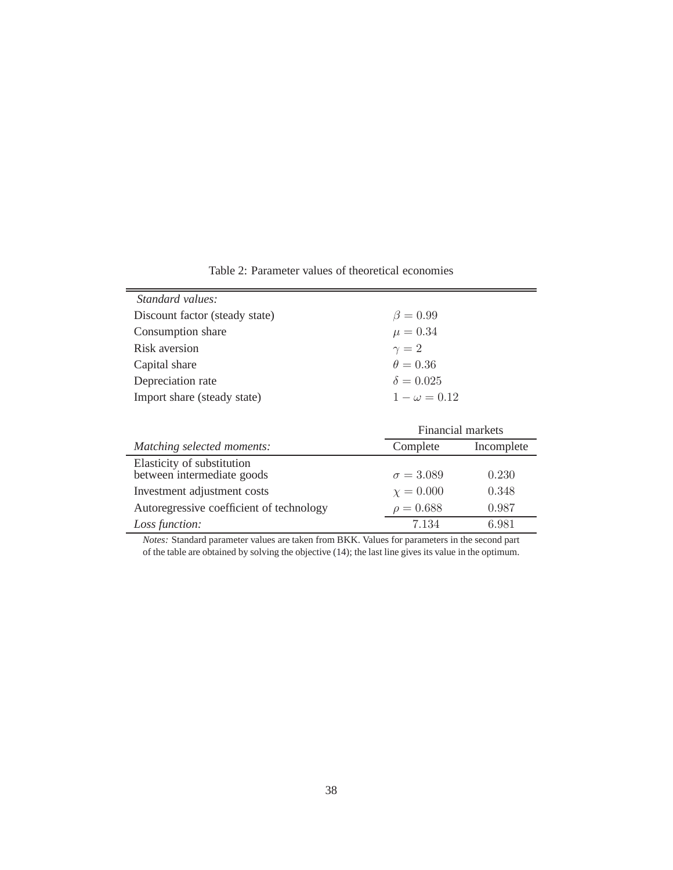| Standard values:               |                     |
|--------------------------------|---------------------|
| Discount factor (steady state) | $\beta = 0.99$      |
| Consumption share              | $\mu = 0.34$        |
| Risk aversion                  | $\gamma=2$          |
| Capital share                  | $\theta = 0.36$     |
| Depreciation rate              | $\delta = 0.025$    |
| Import share (steady state)    | $1 - \omega = 0.12$ |
|                                |                     |
|                                | $Einomial$ montate  |

Table 2: Parameter values of theoretical economies

|                                                          | Financial markets |            |  |
|----------------------------------------------------------|-------------------|------------|--|
| Matching selected moments:                               | Complete          | Incomplete |  |
| Elasticity of substitution<br>between intermediate goods | $\sigma = 3.089$  | 0.230      |  |
| Investment adjustment costs                              | $\chi = 0.000$    | 0.348      |  |
| Autoregressive coefficient of technology                 | $\rho = 0.688$    | 0.987      |  |
| Loss function:                                           | 7.134             | 6.981      |  |

*Notes:* Standard parameter values are taken from BKK. Values for parameters in the second part of the table are obtained by solving the objective (14); the last line gives its value in the optimum.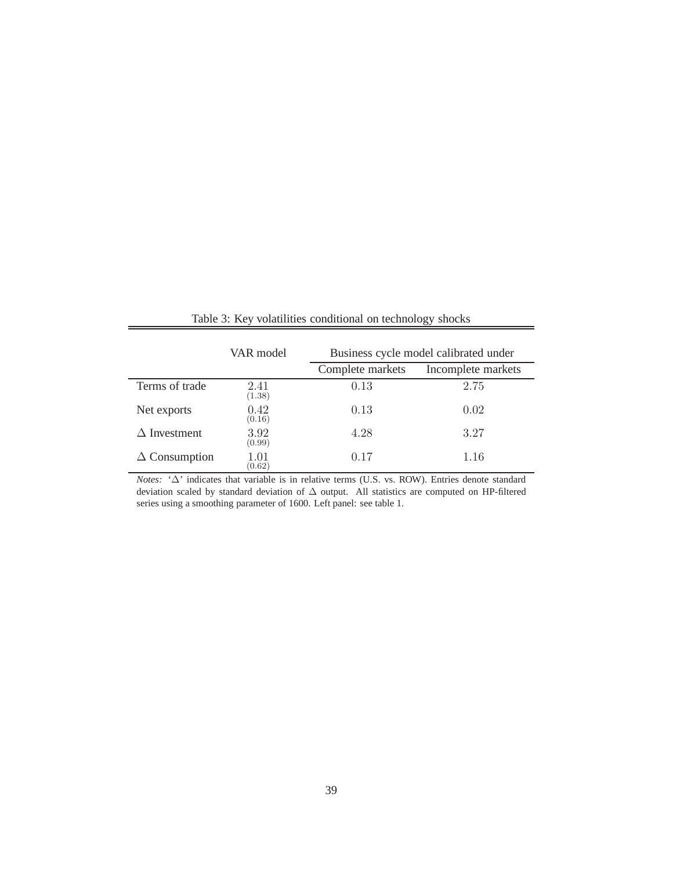|                      | VAR model      | Business cycle model calibrated under |                    |  |
|----------------------|----------------|---------------------------------------|--------------------|--|
|                      |                | Complete markets                      | Incomplete markets |  |
| Terms of trade       | 2.41<br>(1.38) | 0.13                                  | 2.75               |  |
| Net exports          | 0.42<br>(0.16) | 0.13                                  | 0.02               |  |
| $\Delta$ Investment  | 3.92<br>(0.99) | 4.28                                  | 3.27               |  |
| $\Delta$ Consumption | 1.01<br>(0.62) | 0.17                                  | 1.16               |  |

Table 3: Key volatilities conditional on technology shocks

*Notes:* '∆' indicates that variable is in relative terms (U.S. vs. ROW). Entries denote standard deviation scaled by standard deviation of ∆ output. All statistics are computed on HP-filtered series using a smoothing parameter of 1600. Left panel: see table 1.